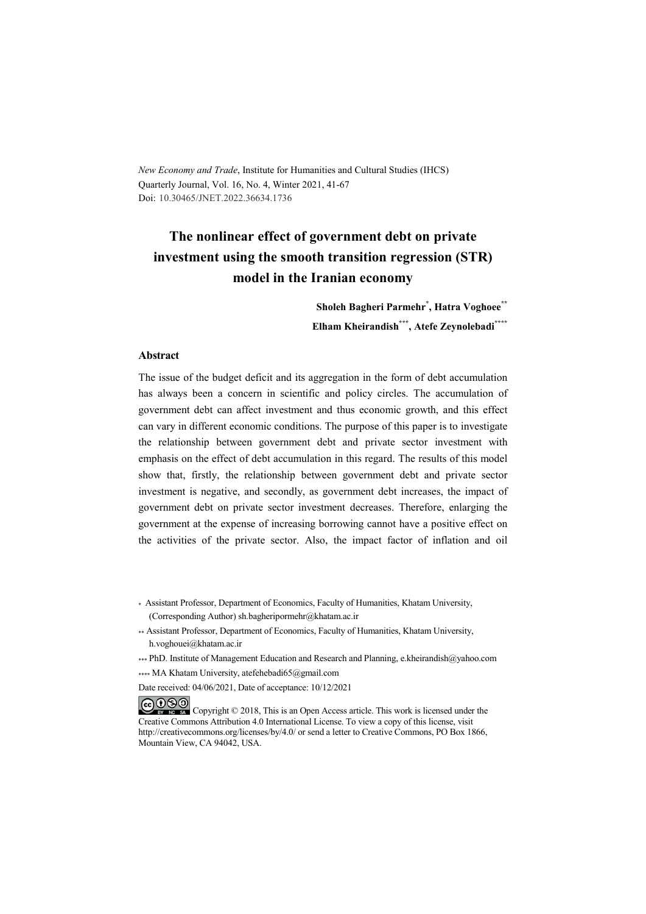*New Economy and Trade*, Institute for Humanities and Cultural Studies (IHCS) Quarterly Journal, Vol. 16, No. 4, Winter 2021, 41-67 Doi: 10.30465/JNET.2022.36634.1736

# **The nonlinear effect of government debt on private investment using the smooth transition regression (STR) model in the Iranian economy**

**Sholeh Bagheri Parmehr\* , Hatra Voghoee\*\* Elham Kheirandish\*\*\* , Atefe Zeynolebadi\*\*\*\***

#### **Abstract**

The issue of the budget deficit and its aggregation in the form of debt accumulation has always been a concern in scientific and policy circles. The accumulation of government debt can affect investment and thus economic growth, and this effect can vary in different economic conditions. The purpose of this paper is to investigate the relationship between government debt and private sector investment with emphasis on the effect of debt accumulation in this regard. The results of this model show that, firstly, the relationship between government debt and private sector investment is negative, and secondly, as government debt increases, the impact of government debt on private sector investment decreases. Therefore, enlarging the government at the expense of increasing borrowing cannot have a positive effect on the activities of the private sector. Also, the impact factor of inflation and oil

- \* Assistant Professor, Department of Economics, Faculty of Humanities, Khatam University, (Corresponding Author) sh.bagheripormehr@khatam.ac.ir
- \*\* Assistant Professor, Department of Economics, Faculty of Humanities, Khatam University, h.voghouei@khatam.ac.ir
- \*\*\* PhD. Institute of Management Education and Research and Planning, e.kheirandish@yahoo.com

\*\*\*\* MA Khatam University, atefehebadi65@gmail.com

Date received: 04/06/2021, Date of acceptance: 10/12/2021

COOO Copyright © 2018, This is an Open Access article. This work is licensed under the Creative Commons Attribution 4.0 International License. To view a copy of this license, visit http://creativecommons.org/licenses/by/4.0/ or send a letter to Creative Commons, PO Box 1866, Mountain View, CA 94042, USA.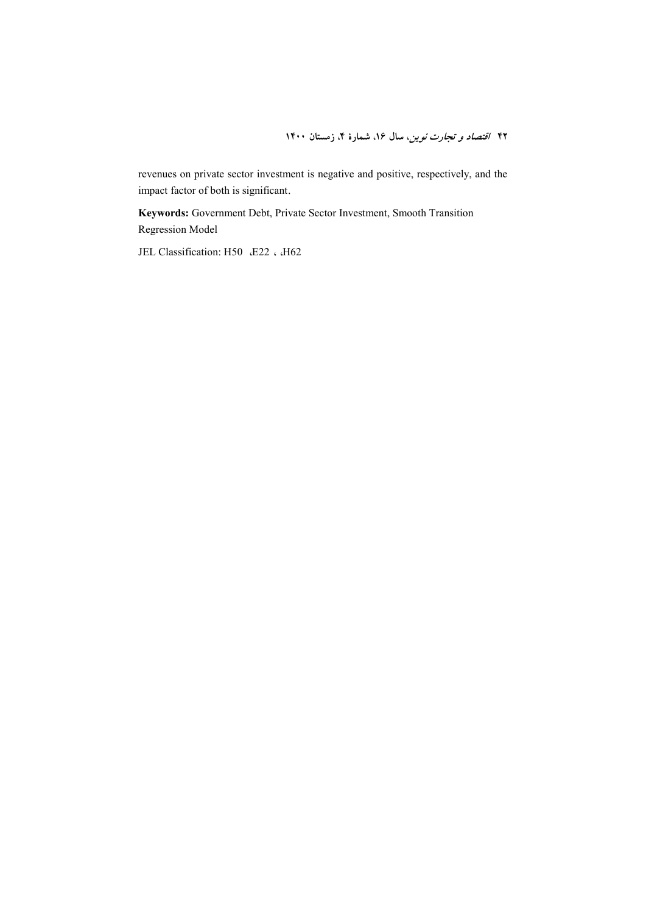revenues on private sector investment is negative and positive, respectively, and the impact factor of both is significant.

**Keywords:** Government Debt, Private Sector Investment, Smooth Transition Regression Model

JEL Classification: H50 E22 . H62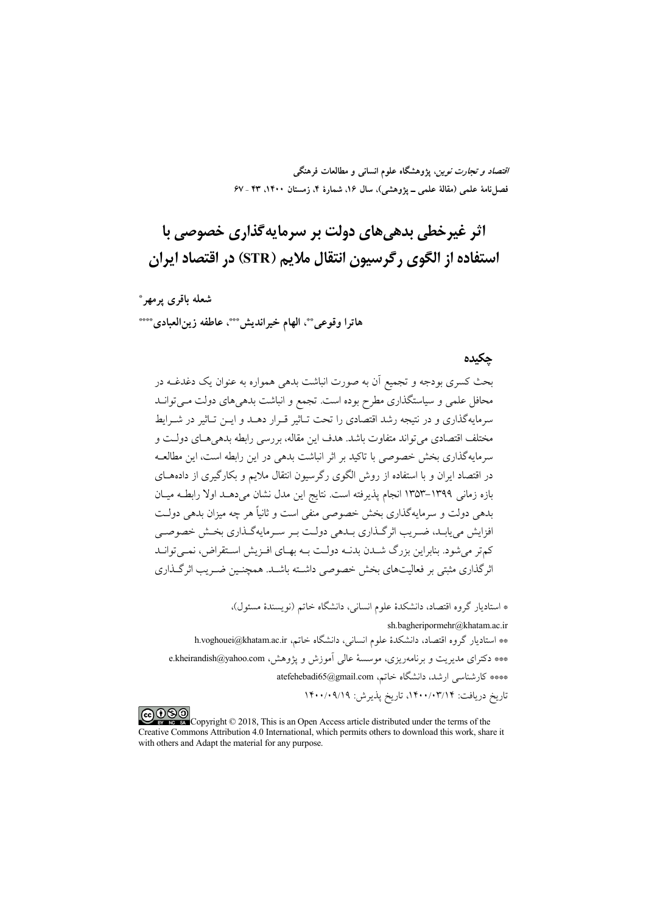*اقتصاد و تجارت نوین*، پژوهشگاه علوم انسان<sub>ی</sub> و مطالعات فرهنگی فصلنامهٔ علمی (مقالهٔ علمی ــ پژوهشی)، سال ۱۶. شمارهٔ ۴. زمستان ۱۴۰۰. ۴۳ ـ ۶۷

اثر غيرخطي بدهي هاي دولت بر سرمايه گذاري خصوصي با استفاده از الگوی , گرسیون انتقال ملایم (STR) در اقتصاد ایران

شعله باقرى يرمهر\* هاترا وقوعي ٌ \*، الهام خيرانديش \* \*\*، عاطفه زين العبادي \* \*\*\*

#### حكىدە

بحث کسری بودجه و تجمیع آن به صورت انباشت بدهی همواره به عنوان یک دغدغــه در محافل علمی و سیاستگذاری مطرح بوده است. تجمع و انباشت بدهی های دولت مـی توانــد سرمایهگذاری و در نتیجه رشد اقتصادی را تحت تـاثیر قـرار دهــد و ایــن تـاثیر در شــرایط مختلف اقتصادي مي تواند متفاوت باشد. هدف اين مقاله، بررسي رابطه بدهي هـاي دولـت و سرمايهگذاري بخش خصوصي با تاكيد بر اثر انباشت بدهي در اين رابطه است، اين مطالعــه در اقتصاد ایران و با استفاده از روش الگوی رگرسیون انتقال ملایم و بکارگیری از دادههــای بازه زمانی ۱۳۹۹–۱۳۵۳ انجام پذیرفته است. نتایج این مدل نشان میدهــد اولا رابطـه میــان بدهی دولت و سرمایهگذاری بخش خصوصی منفی است و ثانیاً هر چه میزان بدهی دولت افزایش می پابـد، ضـر یب اثر گــذاری بــدهی دولــت بـر سـرمایهگــذاری بخــش خصوصــی کم تر می شود. بنابراین بزرگ شــدن بدنــه دولــت بــه بهــای افــزیش اســتقراض، نمــیتوانــد اثر گذاری مثبتی بر فعالیتهای بخش خصوصی داشته باشـد. همچنـین ضـریـب اثر گــذاری

\* استادیار گروه اقتصاد، دانشکدهٔ علوم انسانی، دانشگاه خاتم (نویسندهٔ مسئول)،

sh.bagheripormehr@khatam.ac.ir \*\* استادیار گروه اقتصاد، دانشکدهٔ علوم انسانی، دانشگاه خاتم، h.voghouei@khatam.ac.ir \*\*\* دکترای مدیریت و برنامهریزی، موسسهٔ عالی اَموزش و پژوهش، e.kheirandish@yahoo.com \*\*\*\* كارشناسي ارشد، دانشگاه خاتم، atefehebadi65@gmail.com تاريخ دريافت: ١۴٠٠/٠٣/١٤، تاريخ پذيرش: ١۴٠٠/٠٩/١٩

COOO Copyright © 2018, This is an Open Access article distributed under the terms of the Creative Commons Attribution 4.0 International, which permits others to download this work, share it with others and Adapt the material for any purpose.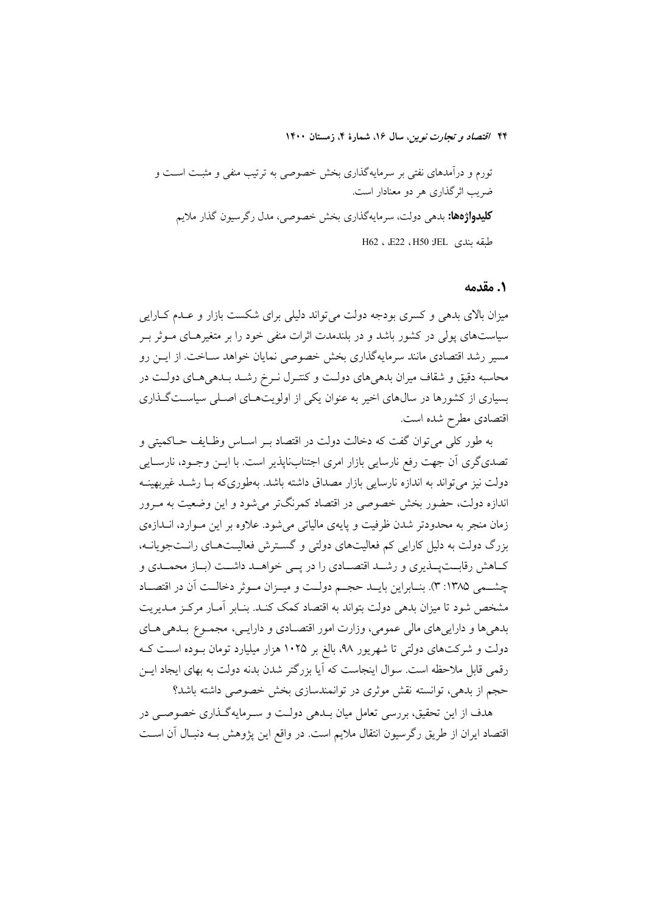تورم و درآمدهای نفتی بر سرمایهگذاری بخش خصوصی به ترتیب منفی و مثبت است و ضریب اثرگذاری هر دو معنادار است. **کلیدواژهها:** بده<sub>ی</sub> دولت، سرمایهگذاری بخش خصوصی، مدل رگرسیون گذار ملایم طبقه بندي H50 JEL ، E22 ، H50

#### ١. مقدمه

میزان بالای بدهی و کسری بودجه دولت می تواند دلیلی برای شکست بازار و عـدم کــارایی سیاستهای پول<sub>ی</sub> در کشور باشد و در بلندمدت اثرات منفی خود را بر متغیرهـای مــوثر بــر مسیر رشد اقتصادی مانند سرمایهگذاری بخش خصوصی نمایان خواهد سـاخت. از ایــن رو محاسبه دقیق و شقاف میران بدهی های دولت و کنتـرل نـرخ رشـد بـدهی هـای دولـت در بسیاری از کشورها در سال@ای اخیر به عنوان یکی از اولویتهـای اصـلی سیاسـتگـذاری اقتصادی مطرح شده است.

به طور كلي مي توان گفت كه دخالت دولت در اقتصاد بـر اسـاس وظـايف حـاكميتي و تصدیگری أن جهت رفع نارسایی بازار امری اجتنابناپذیر است. با ایــن وجــود، نارســایی دولت نیز می تواند به اندازه نارسایی بازار مصداق داشته باشد. بهطوری که بیا رشید غیربهبنیه اندازه دولت، حضور بخش خصوصی در اقتصاد کمرنگتر میشود و این وضعیت به مـرور زمان منجر به محدودتر شدن ظرفیت و پایهی مالیاتی می شود. علاوه بر این مـوارد، انــدازهی بزرگ دولت به دلیل کارایی کم فعالیتهای دولتی و گسترش فعالیـتهـای رانـتجویانــه، کـاهش رقابــتپــذيري و رشــد اقتصــادي را در پــي خواهــد داشــت (بــاز محمــدي و چشـمی ۱۳۸۵: ۳). بنــابراین بایــد حجــم دولــت و میــزان مــوثر دخالــت آن در اقتصــاد مشخص شود تا میزان بدهی دولت بتواند به اقتصاد کمک کنـد. بنـابر آمـار مرکـز مـدیریت بدهیها و داراییهای مالی عمومی، وزارت امور اقتصادی و دارایی، مجموع بـدهی هـای دولت و شرکتهای دولتی تا شهریور ۹۸، بالغ بر ۱۰۲۵ هزار میلیارد تومان بـوده اسـت کـه رقمی قابل ملاحظه است. سوال اینجاست که آیا بزرگتر شدن بدنه دولت به بهای ایجاد ایــن حجم از بدهی، توانسته نقش موثری در توانمندسازی بخش خصوصی داشته باشد؟

هدف از این تحقیق، بررسی تعامل میان بـدهی دولـت و سـرمایهگـذاری خصوصـی در اقتصاد ايران از طريق رگرسيون انتقال ملايم است. در واقع اين پژوهش بـه دنبـال آن اسـت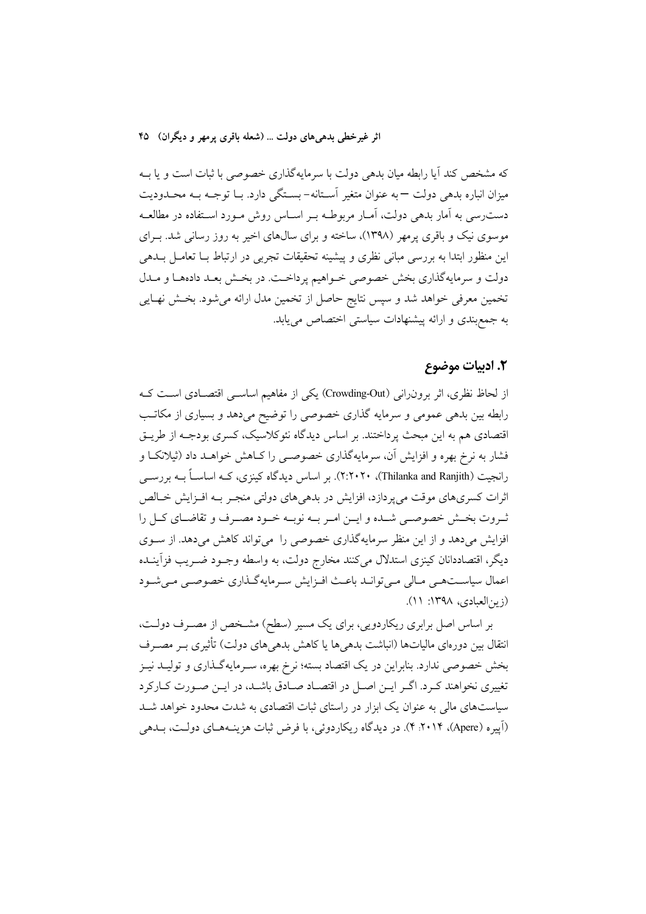که مشخص کند آیا رابطه میان بدهی دولت با سرمایهگذاری خصوصی با ثبات است و یا بــه میزان انباره بدهی دولت —به عنوان متغیر آسـتانه-بسـتگی دارد. بـا توجـه بـه محـدودیت دست٫سی به آمار بدهی دولت، آمـار مربوطـه بـر اسـاس روش مـورد اسـتفاده در مطالعـه موسوی نیک و باقری پرمهر (۱۳۹۸)، ساخته و برای سالهای اخیر به روز رسانی شد. بـرای این منظور ابتدا به بررسی مبانی نظری و پیشینه تحقیقات تجربی در ارتباط بــا تعامــل بــدهی دولت و سرمایهگذاری بخش خصوصی خـواهیم پرداخـت. در بخـش بعـد دادههـا و مـدل تخمین معرفی خواهد شد و سپس نتایج حاصل از تخمین مدل ارائه میشود. بخش نهـایی به جمع بندی و ارائه پیشنهادات سیاستی اختصاص می یابد.

### ٢. ادبيات موضوع

از لحاظ نظری، اثر برون رانی (Crowding-Out) یکی از مفاهیم اساسـی اقتصـادی اسـت کـه رابطه بین بدهی عمومی و سرمایه گذاری خصوصی را توضیح میدهد و بسیاری از مکاتب اقتصادی هم به این مبحث پرداختند. بر اساس دیدگاه نئوکلاسیک، کسری بودجـه از طریــق فشار به نرخ بهره و افزایش آن، سرمایهگذاری خصوصـی را کــاهش خواهــد داد (ثیلانکــا و رانجیت (Thilanka and Ranjith)، ۲۰۲۰۲۰). بر اساس دیدگاه کینزی، کــه اساســاً بــه بررســی اثرات کسریهای موقت می یردازد، افزایش در بدهی های دولتی منجـر بــه افــزایش خــالص ثـروت بخـش خصوصـي شـده و ايــن امــر بــه نوبــه خــود مصــرف و تقاضــاي كــل را افزایش میدهد و از این منظر سرمایهگذاری خصوصی را می تواند کاهش میدهد. از سـوی دیگر، اقتصاددانان کینزی استدلال میکنند مخارج دولت، به واسطه وجــود ضــریب فزآینــده اعمال سیاست همی مـالی مـی توانـد باعـث افـزایش سـرمایهگـذاری خصوصـی مـی شـود (زين العبادي، ١٣٩٨: ١١).

بر اساس اصل برابری ریکاردویی، برای یک مسیر (سطح) مشــخص از مصــرف دولــت، انتقال بین دورهای مالیاتها (انباشت بدهیها یا کاهش بدهیهای دولت) تأثیری بــر مصــرف بخش خصوصی ندارد. بنابراین در یک اقتصاد بسته؛ نرخ بهره، سـرمایهگـذاری و تولیــد نیــز تغییری نخواهند کـرد. اگـر ایـن اصـل در اقتصـاد صـادق باشـد، در ایـن صـورت کـارکرد سیاستهای مالی به عنوان یک ابزار در راستای ثبات اقتصادی به شدت محدود خواهد شـد (اَپیره (Apere)، ۲۰۱۴. ۴). در دیدگاه ریکاردوئی، با فرض ثبات هزینـههـای دولـت، بـدهی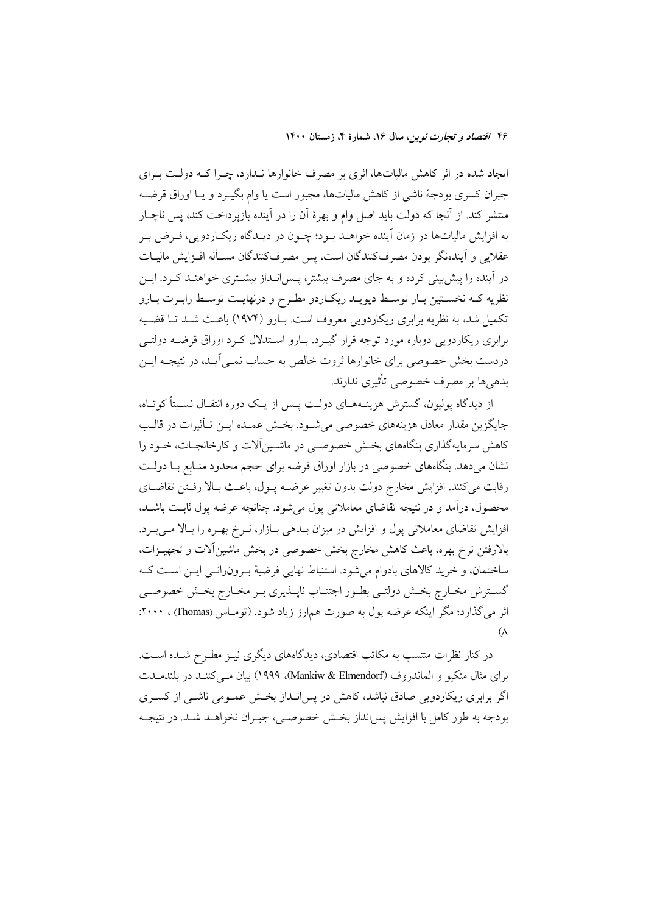ایجاد شده در اثر کاهش مالیاتها، اثری بر مصرف خانوارها نـدارد، چـرا کـه دولـت بـرای جبران كسرى بودجهٔ ناشى از كاهش مالياتها، مجبور است يا وام بگيـرد و يـا اوراق قرضـه منتشر کند. از آنجا که دولت باید اصل وام و بهرهٔ آن را در آینده بازپرداخت کند، پس ناچـار به افزایش مالیاتها در زمان آینده خواهــد بــود؛ چــون در دیــدگاه ریکــاردویـی، فــرض بــر عقلایی و آیندهنگر بودن مصرفکنندگان است، پس مصرفکنندگان مسـأله افـزایش مالیـات در آینده را پیش بینی کرده و به جای مصرف بیشتر، پـس۱نـداز بیشـتری خواهنـد کـرد. ایـن نظریه کـه نخسـتین بـار توسـط دیویـد ریکـاردو مطـرح و درنهایـت توسـط رابـرت بـارو تکمیل شد، به نظریه برابری ریکاردویی معروف است. بـارو (۱۹۷۴) باعـث شــد تــا قضــیه برابری ریکاردویی دوباره مورد توجه قرار گیـرد. بـارو اسـتدلال کـرد اوراق قرضــه دولتــی دردست بخش خصوصی برای خانوارها ثروت خالص به حساب نمـی]یـد، در نتیجـه ایــن بدهيها بر مصرف خصوصي تأثيري ندارند.

از دیدگاه یولیون، گسترش هزینــههــای دولــت پــس از یــک دوره انتقــال نســبتاً کوتــاه، جايگزين مقدار معادل هزينههاي خصوصي مي شــود. بخــش عمــده ايــن تــأثيرات در قالــب کاهش سرمایهگذاری بنگاههای بخش خصوصبی در ماشـینآلات و کارخانجـات، خــود را نشان میدهد. بنگاههای خصوصی در بازار اوراق قرضه برای حجم محدود منـابع بــا دولــت رقابت ميكنند. افزايش مخارج دولت بدون تغيير عرضـه پــول، باعــث بــالا رفــتن تقاضــاي محصول، درآمد و در نتیجه تقاضای معاملاتی پول می شود. چنانچه عرضه پول ثابـت باشــد، افزایش تقاضای معاملاتی پول و افزایش در میزان بـدهی بـازار، نـرخ بهـره را بـالا مـیبـرد. بالارفتن نرخ بهره، باعث كاهش مخارج بخش خصوصى در بخش ماشينآلات و تجهيـزات، ساختمان، و خرید کالاهای بادوام میشود. استنباط نهایی فرضیهٔ بـرونرانـی ایـن اسـت کـه گسترش مخـارج بخـش دولتـي بطـور اجتنـاب ناپــذيري بـر مخـارج بخـش خصوصـي اثر می گذارد؛ مگر اینکه عرضه پول به صورت هم|رز زیاد شود. (تومـاس (Thomas) ، ۲۰۰۰:  $(\Lambda)$ 

در کنار نظرات منتسب به مکاتب اقتصادی، دیدگاههای دیگری نیـز مطـرح شـده اسـت. براي مثال منكيو و الماندروف (Mankiw & Elmendorf)، ١٩٩٩) بيان مبي كننـد در بلندمــدت اگر برابری ریکاردویی صادق نباشد، کاهش در پس انـداز بخـش عمـومی ناشـی از کسـری بو دجه به طور کامل با افزایش پس انداز بخـش خصوصـی، جبـران نخواهــد شــد. در نتیجــه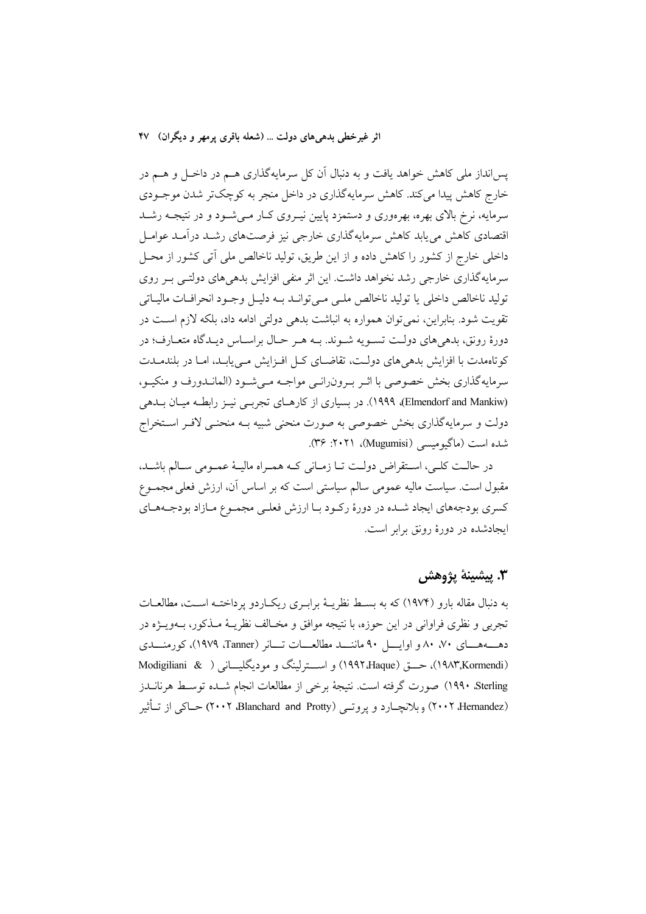پسانداز ملی کاهش خواهد یافت و به دنبال آن کل سرمایهگذاری هــم در داخــل و هــم در خارج کاهش پیدا می کند. کاهش سرمایهگذاری در داخل منجر به کوچک تر شدن موجـودی سرمایه، نرخ بالای بهره، بهرهوری و دستمزد پایین نیـروی کـار مـیشـود و در نتیجـه رشـد اقتصادی کاهش می پابد کاهش سرمایهگذاری خارجی نیز فرصتهای رشـد درآمـد عوامـل داخلی خارج از کشور را کاهش داده و از این طریق، تولید ناخالص ملی آتی کشور از محــل سرمایهگذاری خارجی رشد نخواهد داشت. این اثر منفی افزایش بدهی های دولتـی بـر روی توليد ناخالص داخلي يا توليد ناخالص ملبي مبي توانـد بـه دليـل وجـود انحرافـات ماليـاتي .<br>تقويت شود. بنابراين، نمي توان همواره به انباشت بدهي دولتي ادامه داد، بلكه لازم اســت در دورهٔ رونق، بدهیهای دولت تسـویه شـوند. بـه هـر حـال براسـاس دیـدگاه متعـارف؛ در کوتاممدت با افزایش بدهی های دولت، تقاضـای کـل افـزایش مـی یابـد، امـا در بلندمـدت سرمایهگذاری بخش خصوصی با اثـر بـرون(انـی مواجـه مـیشـود (المانـدورف و منکيـو، (Elmendorf and Mankiw)، در بسیاری از کارهـای تجربـی نیـز رابطـه میـان بـدهی دولت و سرمایهگذاری بخش خصوصی به صورت منحنی شبیه بـه منحنـی لافـر اسـتخراج شده است (ماگیومیسے (Mugumisi)، ۲۰۲۱: ۳۶).

در حالت كلبي، استقراض دولت تـا زمـاني كـه همـراه ماليـهٔ عمـومي سـالم باشـد، مقبول است. سیاست مالیه عمومی سالم سیاستی است که بر اساس آن، ارزش فعلی مجمـوع کسری بودجههای ایجاد شـده در دورهٔ رکـود بـا ارزش فعلـی مجمـوع مـازاد بودجـههـای ابجادشده در دورهٔ رونق برابر است.

## 3. يېشىنە يۋوھش

به دنبال مقاله بارو (۱۹۷۴) که به بسـط نظریـهٔ برابـری ریکـاردو پرداختـه اسـت، مطالعـات تجربي و نظري فراواني در اين حوزه، با نتيجه موافق و مخــالف نظريــهٔ مــذکور، بــهويـــژه در دهــههـــای ۷۰، ۸۰ و اوایـــــل ۹۰ ماننــــد مطالعــــات تــــانر (Tanner)، کورمنـــدی (١٩٨٣,Kormendi)، حــــق (Haque) 194۲،Haque) و اســـترلينگ و موديگليــــاني ( & Modigiliani Sterling) صورت گرفته است. نتيجهٔ برخي از مطالعات انجام شـده توسـط هرنانــدز (۲۰۰۲ Hernandez) وبلانچــارد و يروتــي (Blanchard and Protty) حــاکې از تــأثير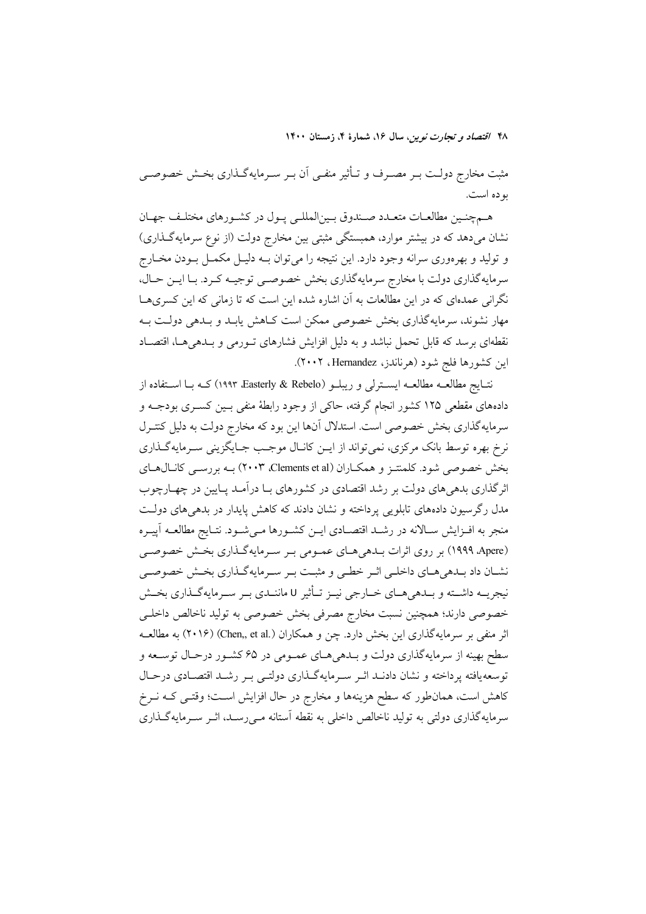مثبت مخارج دولـت بـر مصـرف و تـأثير منفـي أن بـر سـرمايهگـذاري بخـش خصوصـي بو ده است.

هـمچنـین مطالعـات متعـدد صـندوق بـین|لمللـی پـول در کشـورهای مختلـف جهـان نشان میدهد که در بیشتر موارد، همبستگی مثبتی بین مخارج دولت (از نوع سرمایهگذاری) و تولید و بهرهوری سرانه وجود دارد. این نتیجه را میتوان بـه دلیـل مکمـل بـودن مخـارج سرمايه گذاري دولت با مخارج سرمايه گذاري بخش خصوصي توجيـه كـرد. بـا ايـن حـال، .<br>نگرانی عمدهای که در این مطالعات به آن اشاره شده این است که تا زمانی که این کسری ها مهار نشوند، سرمایهگذاری بخش خصوصی ممکن است کـاهش یابـد و بـدهی دولـت بـه نقطهای برسد که قابل تحمل نباشد و به دلیل افزایش فشارهای تــورمی و بــدهیِهــا، اقتصــاد این کشورها فلج شود (هرناندز، Hernandez، ۲۰۰۲).

نتــايج مطالعــه مطالعــه ايســترلمي و ريبلــو (Rasterly & Rebelo) كــه بــا اســتفاده از دادههای مقطعی ۱۲۵ کشور انجام گرفته، حاکی از وجود رابطهٔ منفی بسین کسـری بودجــه و سرمایهگذاری بخش خصوصی است. استدلال آنها این بود که مخارج دولت به دلیل کنتـرل نرخ بهره توسط بانک مرکزی، نمی تواند از ایــن کانــال موجــب جــایگزینی ســرمایهگــذاری بخش خصوصی شود. کلمنتـز و همکـاران (Clements et al) ۲۰۰۳) بـه بررسـی کانـال۱هـای اثرگذاری بدهیهای دولت بر رشد اقتصادی در کشورهای بـا درآمـد پـایین در چهـارچوب مدل رگرسیون دادههای تابلویی پرداخته و نشان دادند که کاهش پایدار در بدهیهای دولت منجر به افـزايش سـالانه در رشـد اقتصـادي ايـن كشـورها مـيشـود. نتـايج مطالعـه آپيـره (۱۹۹۹ ٬Apere) بر روی اثرات بــدهی هــای عمــومی بــر ســرمایهگــذاری بخــش خصوصــی نشـان داد بـدهيهـاي داخلـي اثـر خطـي و مثبـت بـر سـرمايهگـذاري بخـش خصوصـي نيجريــه داشــته و بــدهي هــاي خــارجي نيــز تــأثير U ماننــدي بــر ســرمايهگــذاري بخــش خصوصي دارند؛ همچنين نسبت مخارج مصرفي بخش خصوصي به توليد ناخالص داخلـي اثر منفی بر سرمایهگذاری این بخش دارد. چن و همکاران (.Chen,, et al) (۲۰۱۶) به مطالعـه سطح بهینه از سرمایهگذاری دولت و بـدهیهـای عمـومی در ۶۵ کشـور درحـال توسـعه و توسعه يافته پرداخته و نشان دادنـد اثـر سـرمايهگـذاري دولتـي بـر رشـد اقتصـادي درحـال کاهش است، همان طور که سطح هزینهها و مخارج در حال افزایش است؛ وقتـی کـه نــرخ سرمایهگذاری دولتی به تولید ناخالص داخلی به نقطه آستانه مـی(سـد، اثـر سـرمایهگـذاری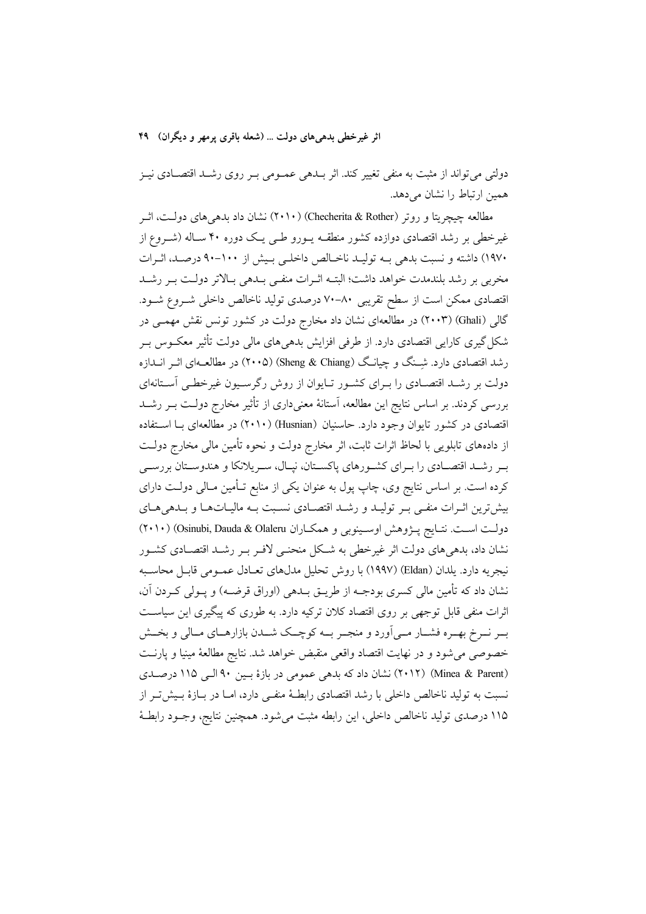دولتی می تواند از مثبت به منفی تغییر کند. اثر بـدهی عمــومی بــر روی رشــد اقتصــادی نیــز همین ارتباط را نشان می دهد.

مطالعه چیچریتا و روتر (Checherita & Rother) (۲۰۱۰) نشان داد بدهی های دولت، اثـر غیرخطی بر رشد اقتصادی دوازده کشور منطقـه پــورو طــی یــک دوره ۴۰ سـاله (شــروع از ۱۹۷۰) داشته و نسبت بدهی بــه تولیــد ناخــالص داخلــی بــیش از ۱۰۰–۹۰ درصــد، اثــرات مخربی بر رشد بلندمدت خواهد داشت؛ البتــه اثــرات منفــی بــدهی بــالاتر دولــت بــر رشــد اقتصادی ممکن است از سطح تقریبی ۸۰–۷۰ درصدی تولید ناخالص داخلی شـروع شـود. گالی (Ghali) (۲۰۰۳) در مطالعهای نشان داد مخارج دولت در کشور تونس نقش مهمـی در شکل گیری کارایی اقتصادی دارد. از طرفی افزایش بدهی های مالی دولت تأثیر معکـوس بـر رشد اقتصادی دارد. شـنگ و چیانـگ (Sheng & Chiang) (۲۰۰۵) در مطالعـهای اثــر انــدازه دولت بر رشـد اقتصـادی را بـرای کشـور تـایوان از روش رگرسـیون غیرخطـی آسـتانهای بررسی کردند. بر اساس نتایج این مطالعه، آستانهٔ معنیداری از تأثیر مخارج دولت بـر رشــد اقتصادی در کشور تایوان وجود دارد. حاسنیان (Husnian) (۲۰۱۰) در مطالعهای بـا اسـتفاده از دادههای تابلویی با لحاظ اثرات ثابت، اثر مخارج دولت و نحوه تأمین مالی مخارج دولت بـر رشــد اقتصـادي را بـراي كشـورهاي پاكسـتان، نپــال، سـريلانكا و هندوسـتان بررســي کرده است. بر اساس نتایج وی، چاپ پول به عنوان یکی از منابع تـأمین مـالی دولـت دارای بیش ترین اثـرات منفـی بـر تولیـد و رشـد اقتصـادی نسـبت بـه مالیـاتهـا و بـدهی۵حـای دولت است. نتـايج پـژوهش اوسـينوبي و همكـاران Osinubi, Dauda & Olaleru) (٢٠١٠) نشان داد، بدهیهای دولت اثر غیرخطی به شکل منحنـی لافـر بـر رشـد اقتصـادی کشـور نيجريه دارد. يلدان (Eldan) (١٩٩٧) با روش تحليل مدلهاي تعــادل عمــومي قابــل محاســبه نشان داد که تأمین مالی کسری بودجــه از طریــق بــدهی (اوراق قرضــه) و پــولی کــردن آن، اثرات منفی قابل توجهی بر روی اقتصاد کلان ترکیه دارد. به طوری که پیگیری این سیاست بـر نــرخ بهــره فشــار مــي|ورد و منجــر بــه كوچــك شــدن بازارهــاي مــالي و بخــش خصوصی می شود و در نهایت اقتصاد واقعی منقبض خواهد شد. نتایج مطالعهٔ مینیا و پارنت (Minea & Parent) (٢٠١٢) نشان داد كه بدهي عمومي در بازة بين ٩٠ البي ١١٥ درصدي نسبت به تولید ناخالص داخلی با رشد اقتصادی رابطـهٔ منفـی دارد، امـا در بـازهٔ بـیش تـر از ١١۵ درصدي توليد ناخالص داخلي، اين رابطه مثبت مي شود. همچنين نتايج، وجـود رابطـهٔ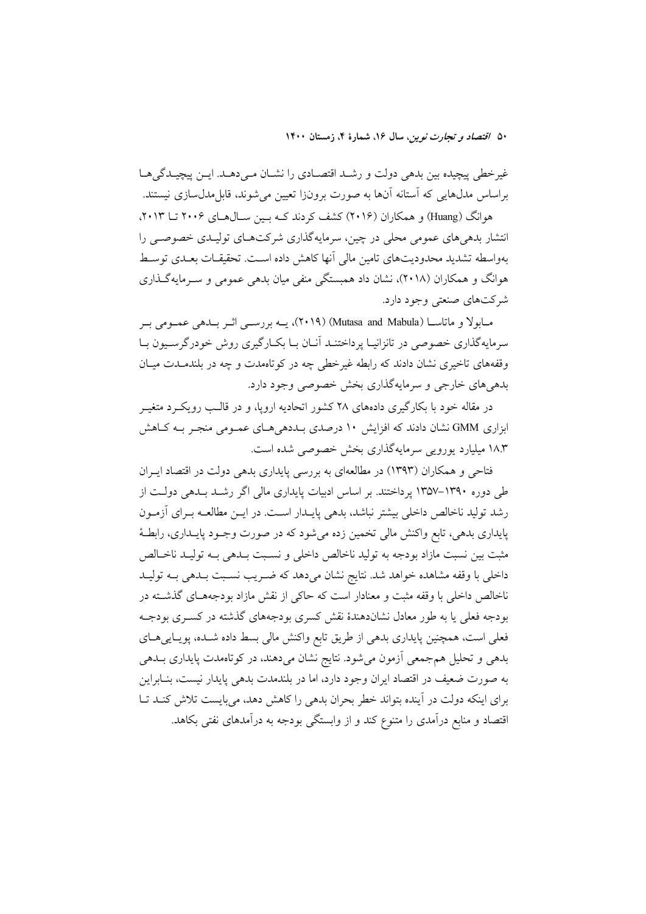غیرخطی پیچیده بین بدهی دولت و رشـد اقتصـادی را نشـان مـیدهـد. ایـن پیچیـدگی۵ـا براساس مدلهایی که استانه اّنها به صورت برونزا تعیین می شوند، قابل مدلسازی نیستند.

هوانگ (Huang) و همکاران (۲۰۱۶) کشف کردند کـه بـین سـال۱هـای ۲۰۰۶ تــا ۲۰۱۳. انتشار بدهیهای عمومی محلی در چین، سرمایهگذاری شرکتهای تولیـدی خصوصـی را بهواسطه تشدید محدودیتهای تامین مالی آنها کاهش داده اسـت. تحقیقــات بعــدی توســط هوانگ و همکاران (۲۰۱۸)، نشان داد همبستگی منفی میان بدهی عمومی و ســرمایهگـذاری شرکتهای صنعتی وجود دارد.

مـابولا و ماتاسـا (Mutasa and Mabula) (۲۰۱۹)، يــه بررســي اثــر بــدهي عمــومي بــر سرمایهگذاری خصوصی در تانزانیـا پرداختنــد آنــان بــا بکــارگیری روش خودرگرســیون بــا وقفههای تاخیری نشان دادند که رابطه غیر خطی چه در کو تاهمدت و چه در بلندمــدت میــان بدهي هاي خارجي و سرمايهگذاري بخش خصوصي وجود دارد.

در مقاله خود با بکارگیری دادههای ۲۸ کشور اتحادیه اروپا، و در قالـب رویکــرد متغیــر ابزاری GMM نشان دادند که افزایش ۱۰ درصدی بـددهیهـای عمـومی منجـر بـه کـاهش ۱۸.۳ میلیارد یورویی سرمایهگذاری بخش خصوصی شده است.

فتاحی و همکاران (۱۳۹۳) در مطالعهای به بررسی پایداری بدهی دولت در اقتصاد ایبران طی دوره ۱۳۹۰–۱۳۵۷ پرداختند. بر اساس ادبیات پایداری مالی اگر رشـد بـدهی دولـت از رشد تولید ناخالص داخلی بیشتر نباشد، بدهی پایـدار اسـت. در ایــن مطالعــه بــرای آزمــون پایداری بدهی، تابع واکنش مالی تخمین زده میشود که در صورت وجـود پایـداری، رابطـهٔ مثبت بين نسبت مازاد بودجه به توليد ناخالص داخلي و نسـبت بــدهي بــه توليــد ناخــالص داخلی با وقفه مشاهده خواهد شد. نتایج نشان میدهد که ضـریب نسـبت بــدهی بــه تولیــد ناخالص داخلی با وقفه مثبت و معنادار است که حاکی از نقش مازاد بودجههـای گذشــته در بودجه فعلی یا به طور معادل نشاندهندهٔ نقش کسری بودجههای گذشته در کسـری بودجـه فعلی است، همچنین پایداری بدهی از طریق تابع واکنش مالی بسط داده شـده، پویـاییِهـای بدهی و تحلیل همجمعی آزمون می شود. نتایج نشان میدهند، در کوتاهمدت پایداری بـدهی به صورت ضعیف در اقتصاد ایران وجود دارد، اما در بلندمدت بدهی پایدار نیست، بنـابراین برای اینکه دولت در آینده بتواند خطر بحران بدهی را کاهش دهد، میبایست تلاش کنـد تـا اقتصاد و منابع درآمدی را متنوع کند و از وابستگی بودجه به درآمدهای نفتی بکاهد.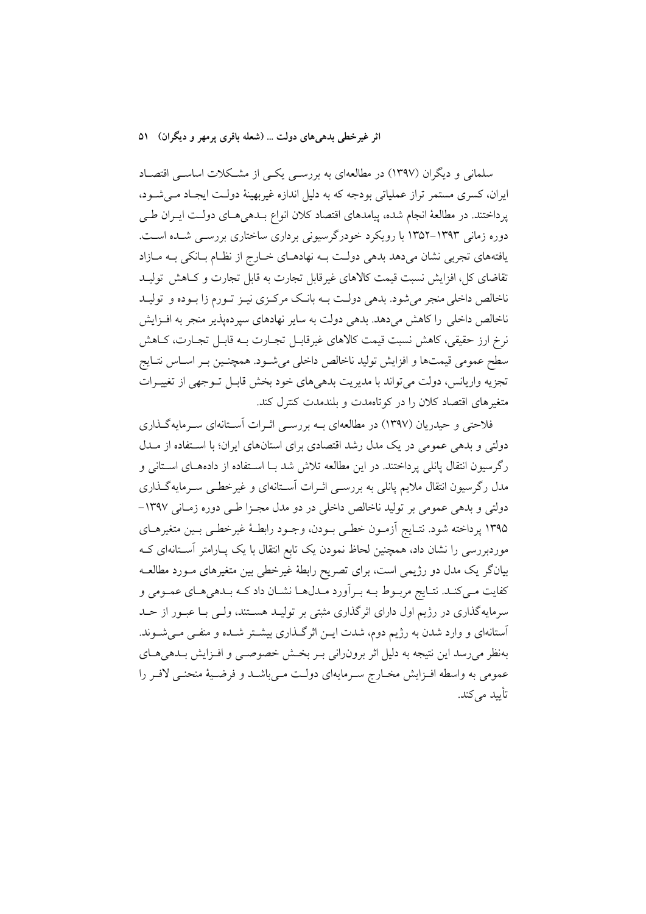سلمانی و دیگران (۱۳۹۷) در مطالعهای به بررســی یکــی از مشــکلات اساســی اقتصــاد ایران، کسری مستمر تراز عملیاتی بودجه که به دلیل اندازه غیربهینهٔ دولت ایجاد مـی شـود، پرداختند. در مطالعهٔ انجام شده، پیامدهای اقتصاد کلان انواع بـدهیهـای دولـت ایـران طـی دوره زمانی ۱۳۹۳-۱۳۵۲ با رویکرد خودرگرسیونی برداری ساختاری بررسـی شـده اسـت. یافتههای تجربی نشان میدهد بدهی دولت بـه نهادهـای خـارج از نظـام بـانکی بـه مـازاد تقاضای کل، افزایش نسبت قیمت کالاهای غیرقابل تجارت به قابل تجارت و کـاهش تولیـد ناخالص داخلی منجر میشود. بدهی دولـت بــه بانـک مرکـزی نیــز تــورم زا بــوده و تولیــد ناخالص داخلی را کاهش میدهد. بدهی دولت به سایر نهادهای سپردهپذیر منجر به افـزایش نرخ ارز حقیقی، کاهش نسبت قیمت کالاهای غیرقابـل تجـارت بــه قابـل تجـارت، کــاهش سطح عمومي قيمتها و افزايش توليد ناخالص داخلي مي شـود. همچنـين بـر اسـاس نتـايج تجزیه واریانس، دولت می تواند با مدیریت بدهیهای خود بخش قابـل تـوجهی از تغییـرات متغیرهای اقتصاد کلان را در کو تاهمدت و بلندمدت کنترل کند.

فلاحتی و حیدریان (۱۳۹۷) در مطالعهای بـه بررسـی اثـرات آسـتانهای سـرمایهگـذاری دولتی و بدهی عمومی در یک مدل رشد اقتصادی برای استانهای ایران؛ با استفاده از مـدل رگرسیون انتقال پانلی پرداختند. در این مطالعه تلاش شد بـا اسـتفاده از دادههـای اسـتانی و مدل رگرسیون انتقال ملایم پانلی به بررسـی اثـرات آسـتانهای و غیرخطـی سـرمایهگـذاری دولتي و بدهي عمومي بر توليد ناخالص داخلي در دو مدل مجـزا طـي دوره زمـاني ١٣٩٧-۱۳۹۵ پرداخته شود. نتـايج آزمـون خطـي بـودن، وجـود رابطـهٔ غيرخطـي بـين متغيرهـاي موردبررسی را نشان داد، همچنین لحاظ نمودن یک تابع انتقال با یک پـارامتر آسـتانهای کـه بیانگر یک مدل دو رژیمی است، برای تصریح رابطهٔ غیرخطی بین متغیرهای مـورد مطالعــه کفایت مـیکنـد. نتـایج مربـوط بــه بـراَورد مــدلهــا نشــان داد کــه بـدهیهــای عمــومی و سرمایهگذاری در رژیم اول دارای اثرگذاری مثبتی بر تولیـد هسـتند، ولـی بـا عبـور از حـد آستانهای و وارد شدن به رژیم دوم، شدت ایـن اثرگـذاری بیشـتر شـده و منفـی مـیشـوند. بهنظر می رسد این نتیجه به دلیل اثر برون(انی بـر بخـش خصوصـی و افـزایش بــدهی۱صای عمومي به واسطه افـزايش مخـارج سـرمايهاي دولـت مـي!شـد و فرضـيهٔ منحنـي لافـر را تأسد مے کند.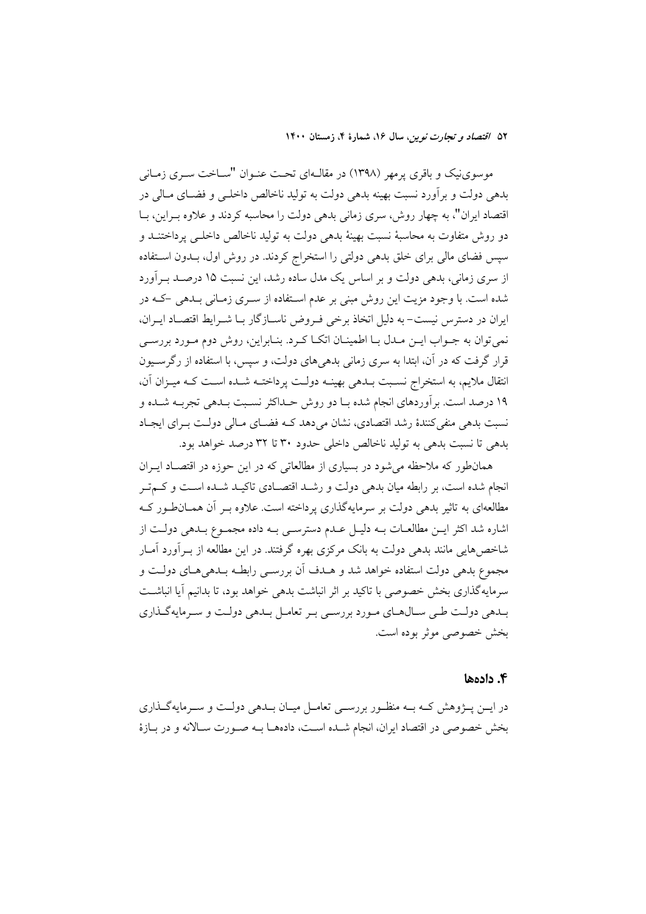موسوینیک و باقری پرمهر (۱۳۹۸) در مقالـهای تحـت عنـوان "ســاخت سـری زمـانی بدهی دولت و برآورد نسبت بهینه بدهی دولت به تولید ناخالص داخلـی و فضـای مـالی در اقتصاد ایران"، به چهار روش، سری زمانی بدهی دولت را محاسبه کردند و علاوه بـراین، بـا دو روش متفاوت به محاسبهٔ نسبت بهینهٔ بدهی دولت به تولید ناخالص داخلـی پرداختنــد و سپس فضای مالی برای خلق بدهی دولتی را استخراج کردند. در روش اول، بـدون اسـتفاده از سری زمانی، بدهی دولت و بر اساس یک مدل ساده رشد، این نسبت ۱۵ درصـد بــرآورد شده است. با وجود مزیت این روش مبنی بر عدم استفاده از سـری زمـانی بـدهی -کـه در ایران در دسترس نیست–به دلیل اتخاذ برخی فـروض ناســازگار بــا شــرایط اقتصــاد ایــران، نمي توان به جـواب ايــن مــدل بــا اطمينــان اتكــا كــرد. بنــابراين، روش دوم مــورد بررســي قرار گرفت که در آن، ابتدا به سری زمانی بدهی های دولت، و سپس، با استفاده از رگرسیون انتقال ملایم، به استخراج نسـبت بــدهی بهینــه دولــت پرداختــه شــده اســت کــه میــزان آن، ۱۹ درصد است. برآوردهای انجام شده بـا دو روش حـداکثر نسـبت بـدهی تجربـه شـده و نسبت بدهی منفی کنندهٔ رشد اقتصادی، نشان میدهد کـه فضـای مـالی دولـت بـرای ایجـاد بدهی تا نسبت بدهی به تولید ناخالص داخلی حدود ۳۰ تا ۳۲ درصد خواهد بود.

همانطور که ملاحظه می شود در بسیاری از مطالعاتی که در این حوزه در اقتصـاد ایـران انجام شده است، بر رابطه میان بدهی دولت و رشـد اقتصـادی تاکیـد شـده اسـت و کـمتـر مطالعهای به تاثیر بدهی دولت بر سرمایهگذاری پرداخته است. علاوه بــر آن همــان $d$ ور کــه اشاره شد اکثر ایـن مطالعـات بـه دلیـل عـدم دسترسـی بـه داده مجمـوع بـدهی دولـت از شاخصهایی مانند بدهی دولت به بانک مرکزی بهره گرفتند. در این مطالعه از بـرآورد آمـار مجموع بدهی دولت استفاده خواهد شد و هـدف آن بررسـی رابطـه بـدهی۵حای دولـت و سرمایهگذاری بخش خصوصی با تاکید بر اثر انباشت بدهی خواهد بود، تا بدانیم آیا انباشـت بــدهي دولــت طــي ســال١عـاي مــورد بررســي بــر تعامــل بــدهي دولــت و ســرمايهگــذاري بخش خصوصی موثر بوده است.

#### ۴. دادهها

در ایــن پــژوهش کــه بــه منظــور بررســي تعامــل میــان بــدهي دولــت و ســرمايهگــذاري بخش خصوصی در اقتصاد ایران، انجام شـده اسـت، دادههـا بـه صـورت سـالانه و در بـازهٔ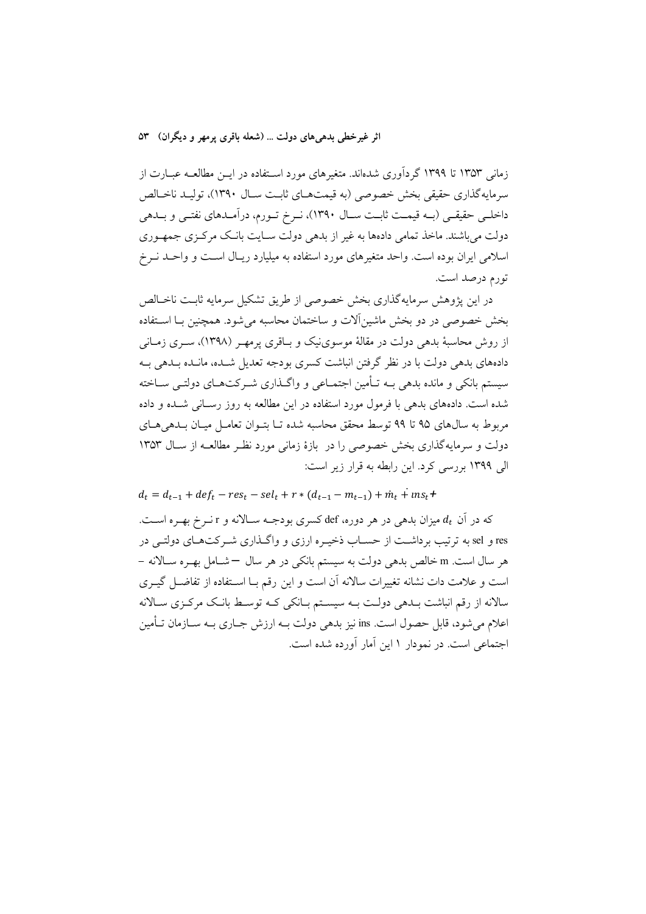زمانی ۱۳۵۳ تا ۱۳۹۹ گردآوری شدهاند. متغیرهای مورد استفاده در ایــن مطالعــه عبــارت از سرمايه گذاري حقيقي بخش خصوصي (به قيمتهــاي ثابـت ســال ١٣٩٠)، توليــد ناخــالص داخلـی حقیقـی (بــه قیمــت ثابــت ســال ١٣٩٠)، نــرخ تــورم، درآمــدهای نفتــی و بــدهی دولت می باشند. ماخذ تمامی دادهها به غیر از بدهی دولت سـایت بانـک مرکـزی جمهـوری اسلامی ایران بوده است. واحد متغیرهای مورد استفاده به میلیارد ریـال اسـت و واحـد نـرخ تورم درصد است.

در این پژوهش سرمایهگذاری بخش خصوصی از طریق تشکیل سرمایه ثابـت ناخـالص بخش خصوصی در دو بخش ماشین آلات و ساختمان محاسبه می شود. همچنین بـا اسـتفاده از روش محاسبهٔ بدهی دولت در مقالهٔ موسوینیک و بـاقری پرمهـر (۱۳۹۸)، سـری زمـانی دادههای بدهی دولت با در نظر گرفتن انباشت کسری بودجه تعدیل شبده، مانیده بیدهی بیه سیستم بانکی و مانده بدهی بــه تــأمین اجتمــاعی و واگــذاری شــر کتـهــای دولتــی ســاخته شده است. دادههای بدهی با فرمول مورد استفاده در این مطالعه به روز رسـانی شــده و داده مربوط به سالهای ۹۵ تا ۹۹ توسط محقق محاسبه شده تــا بتــوان تعامــل میــان بــدهی هــای دولت و سرمایهگذاری بخش خصوصی را در بازهٔ زمانی مورد نظر مطالعـه از سـال ۱۳۵۳ الی ۱۳۹۹ بررسی کرد. این رابطه به قرار زیر است:

 $d_t = d_{t-1} + def_t - res_t - sel_t + r * (d_{t-1} - m_{t-1}) + m_t + ins_t +$ که در آن  $d_t$  میزان بدهی در هر دوره، def کسری بودجـه سـالانه و r نــرخ بهــره اســت. res و sel به ترتیب برداشت از حسـاب ذخیـره ارزی و واگـذاری شـر کتهـای دولتـی در هر سال است. m خالص بدهی دولت به سیستم بانکی در هر سال –شامل بهـره سـالانه – است و علامت دات نشانه تغییرات سالانه آن است و این رقم بـا اسـتفاده از تفاضـل گیـری سالانه از رقم انباشت بـدهي دولـت بـه سيسـتم بـانكي كـه توسـط بانـك مركـزى سـالانه اعلام مي شود، قابل حصول است. ins نيز بدهي دولت بــه ارزش جــاري بــه ســازمان تــأمين اجتماعی است. در نمودار ۱ این آمار آورده شده است.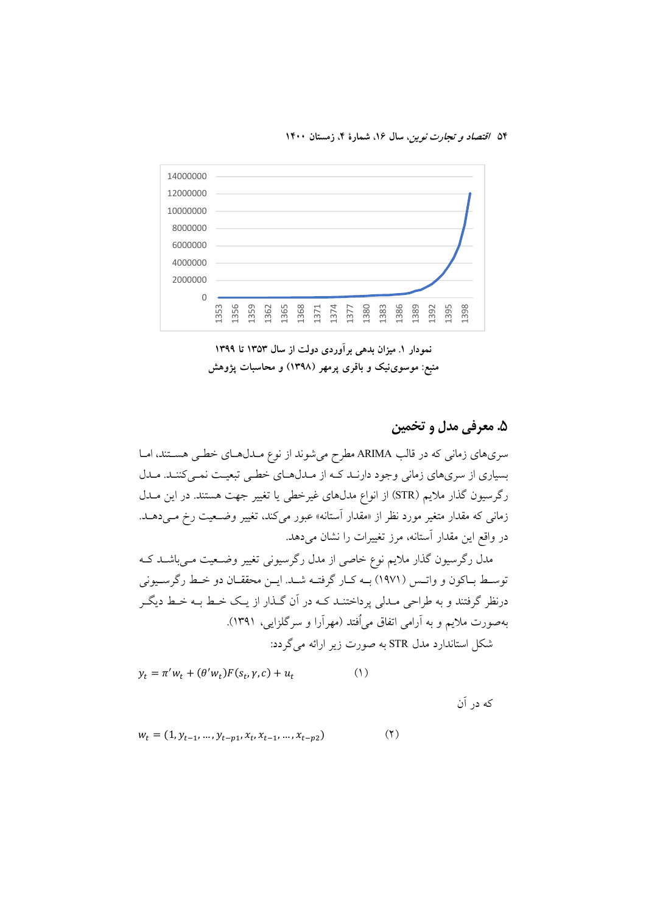

نمودار ۱. میزان بدهی بر آوردی دولت از سال ۱۳۵۳ تا ۱۳۹۹ منبع: موسوینیک و باقری پرمهر (۱۳۹۸) و محاسبات پژوهش

# ۵. معرفي مدل و تخمين

سریهای زمانی که در قالب ARIMA مطرح میشوند از نوع مـدلهـای خطـی هسـتند، امـا بسیاری از سریهای زمانی وجود دارنـد کـه از مـدلهـای خطـی تبعیـت نمـیکننـد. مـدل رگرسیون گذار ملایم (STR) از انواع مدلهای غیرخطی یا تغییر جهت هستند. در این مــدل زمانی که مقدار متغیر مورد نظر از «مقدار آستانه» عبور میکند، تغییر وضـعیت رخ مـیدهـد. در واقع این مقدار آستانه، مرز تغییرات را نشان میدهد.

مدل رگرسیون گذار ملایم نوع خاصی از مدل رگرسیونی تغییر وضـعیت مـیباشــد کــه توسط باكون و واتـس (١٩٧١) بـه كـار گرفتـه شـد. ايـن محققـان دو خـط رگرسـيوني درنظر گرفتند و به طراحی مـدلی پرداختنـد کـه در آن گـذار از یـک خـط بـه خـط دیگـر بهصورت ملایم و به اَرامی اتفاق میاُفتد (مهراَرا و سرگلزایی، ۱۳۹۱). شکل استاندارد مدل STR به صورت زیر ارائه می گردد:

$$
y_t = \pi' w_t + (\theta' w_t) F(s_t, \gamma, c) + u_t \tag{1}
$$

که در آن

$$
w_t = (1, y_{t-1}, \dots, y_{t-p1}, x_t, x_{t-1}, \dots, x_{t-p2})
$$
\n<sup>(</sup>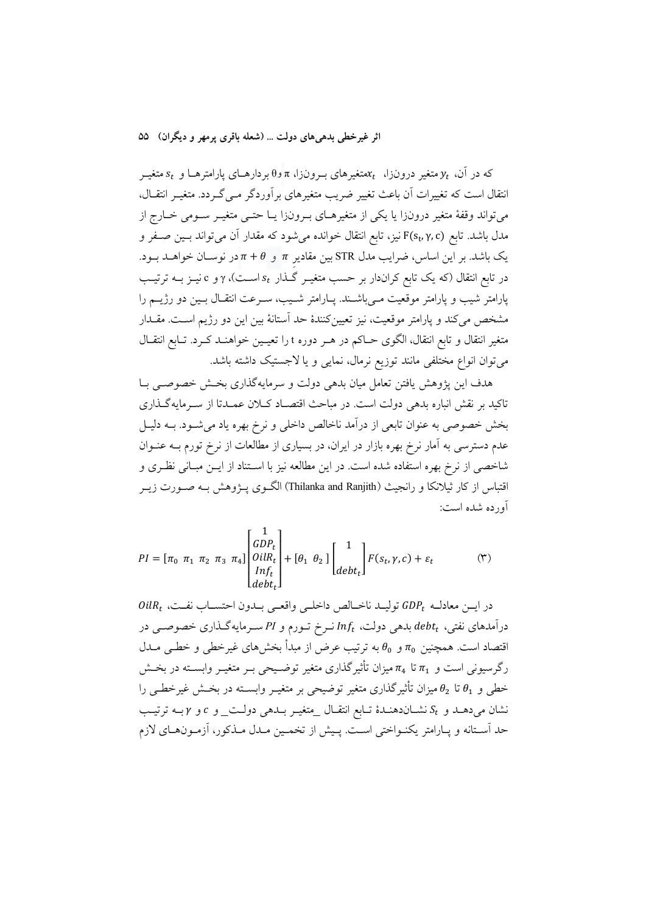که در آن،  $y_t$  متغیر درونزا،  $\kappa_t$ متغیرهای بـرونزا، π و $\theta$  بردارهـای پارامترهـا و  $s_t$  متغیـر انتقال است که تغییرات اّن باعث تغییر ضریب متغیرهای برآوردگر مـی گـردد. متغیـر انتقــال، میتواند وقفهٔ متغیر درونزا یا یکی از متغیرهـای بـرونزا یـا حتـی متغیـر سـومی خـارج از مدل باشد. تابع F(s<sub>t</sub>,γ,c) نیز، تابع انتقال خوانده میشود که مقدار آن میتواند بسین صـفر و یک باشد. بر این اساس، ضرایب مدل STR بین مقادیر  $\pi$  و  $\theta + \pi$ در نوسـان خواهــد بــود. در تابع انتقال (که یک تابع کراندار بر حسب متغیــر گــذار  $s_t$  اســت)، γو c نیــز بــه ترتیــب پارامتر شیب و پارامتر موقعیت مـیباشــند. پــارامتر شــیب، ســرعت انتقــال بــین دو رژیــم را مشخص می کند و پارامتر موقعیت، نیز تعیینکنندهٔ حد اَستانهٔ بین این دو رژیم اسـت. مقــدار متغیر انتقال و تابع انتقال، الگوی حـاکم در هـر دوره t را تعیـین خواهنــد کــرد. تــابع انتقــال میتوان انواع مختلفی مانند توزیع نرمال، نمایی و یا لاجستیک داشته باشد.

هدف این پژوهش یافتن تعامل میان بدهی دولت و سرمایهگذاری بخش خصوصبی بـا تاکید بر نقش انباره بدهی دولت است. در مباحث اقتصـاد کـلان عمـدتا از سـرمایهگـذاری بخش خصوصی به عنوان تابعی از درآمد ناخالص داخلی و نرخ بهره یاد می شود. بـه دلیـل عدم دسترسی به آمار نرخ بهره بازار در ایران، در بسیاری از مطالعات از نرخ تورم بـه عنـوان شاخصی از نرخ بهره استفاده شده است. در این مطالعه نیز با اسـتناد از ایــن مبــانی نظـری و اقتباس از کار ثیلانکا و رانجیث (Thilanka and Ranjith) الگــوی پــژوهش بــه صــورت زیــر آورده شده است:

$$
PI = [\pi_0 \ \pi_1 \ \pi_2 \ \pi_3 \ \pi_4] \begin{bmatrix} 1 \\ GDP_t \\ Oilk_t \\ Inf_t \\ debt_t \end{bmatrix} + [\theta_1 \ \theta_2] \begin{bmatrix} 1 \\ \vdots \\ debt_t \end{bmatrix} F(s_t, \gamma, c) + \varepsilon_t \tag{\text{(*)}}
$$

 $\mathit{OilR}_t$  در ايــن معادلــه  $\mathit{GDP}_t$  توليــد ناخــالص داخلــي واقعــي بــدون احتســاب نفــت، درآمدهای نفتی،  $debt_t$  بدهی دولت،  $Inf_t$  نـرخ تـورم و PI سـرمایهگـذاری خصوصـی در اقتصاد است. همچنین  $\pi_0$  و  $\theta_0$  به ترتیب عرض از مبدأ بخش های غیرخطی و خطـی مــدل رگرسیونی است و  $\pi_1$  تا  $\pi_4$ میزان تأثیرگذاری متغیر توضـیحی بـر متغیـر وابسـته در بخـش خطی و  $\theta_1$  تا  $\theta_2$  میزان تأثیرگذاری متغیر توضیحی بر متغیـر وابســته در بخــش غیرخطــی را نشان میدهـد و  $S_t$ نشـاندهنـدهٔ تـابع انتقـال \_متغیـر بـدهی دولـت\_ و c و yبـه ترتیـب حد استانه و پـارامتر يكنــواختى اســت. پــيش از تخمــين مــدل مــذكور، اَزمــونهــاى لازم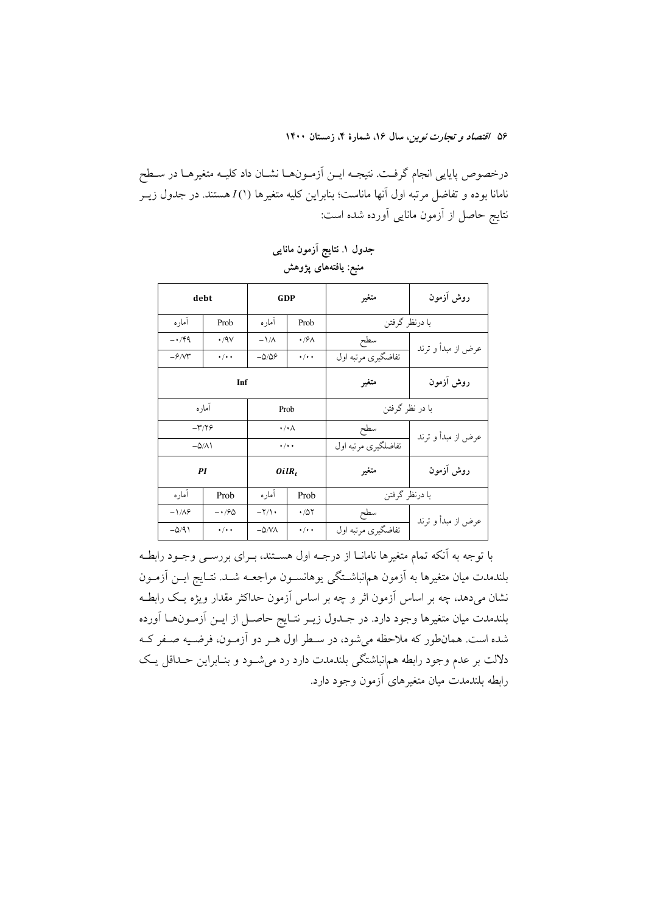درخصوص پایایی انجام گرفت. نتیجــه ایــن اَزمــونهــا نشــان داد کلیــه متغیرهــا در ســطح نامانا بوده و تفاضل مرتبه اول آنها ماناست؛ بنابراین کلیه متغیرها (۱) Zهستند. در جدول زیــر نتايج حاصل از آزمون مانايي آورده شده است:

| debt                     |                   | <b>GDP</b>            |               | متغير               | روش آزمون          |
|--------------------------|-------------------|-----------------------|---------------|---------------------|--------------------|
| امار ه                   | Prob              | اماره                 | Prob          | با درنظر گرفتن      |                    |
| $-14$                    | $\cdot$ /9 $\vee$ | $-\frac{1}{\Lambda}$  | $\cdot$ /۶۸   | سطح                 | عرض از مبدأ و ترند |
| $-\frac{\mathcal{S}}{N}$ | $\cdot/\cdot$ .   | $-\Delta/\Delta$ ۶    | $\cdot/\cdot$ | تفاضگیری مرتبه اول  |                    |
| Inf                      |                   |                       |               | متغير               | روش آزمون          |
| أماره<br>Prob            |                   | با در نظر گرفتن       |               |                     |                    |
| $-\mathbf{r}/\mathbf{v}$ |                   | $\cdot/\cdot \wedge$  |               | سطح                 | عرض از مبدأ و ترند |
| $-\Delta/\Lambda$        |                   | $\cdot/\cdot$         |               | تفاضلگیری مرتبه اول |                    |
| PI                       |                   | $OilR_t$              |               | متغير               | روش آزمون          |
| امار ه                   | Prob              | امار ه                | Prob          | با درنظر گرفتن      |                    |
| $-\frac{1}{4}$           | $-190$            | $-\frac{1}{\sqrt{2}}$ | $\cdot$ /0۲   | سطح                 | عرض از مبدأ و ترند |
| $-\Delta/91$             | $\cdot/\cdot$     | $-\Delta/N\Lambda$    | $\cdot/\cdot$ | تفاضگیری مرتبه اول  |                    |

جدول ۱. نتایج آزمون مانایی منبع: يافتەھاي پژوهش

با توجه به آنکه تمام متغیرها نامانــا از درجــه اول هســتند، بــرای بررســی وجــود رابطــه بلندمدت میان متغیرها به آزمون هم|نباشـتگی یوهانســون مراجعــه شــد. نتــایج ایــن آزمــون نشان میدهد، چه بر اساس آزمون اثر و چه بر اساس آزمون حداکثر مقدار ویژه یـک رابطـه بلندمدت میان متغیرها وجود دارد. در جـدول زیــر نتــایج حاصــل از ایــن آزمــون۱عــا آورده شده است. همانطور که ملاحظه میشود، در سطر اول هـر دو آزمـون، فرضـيه صـفر کـه دلالت بر عدم وجود رابطه همانباشتگی بلندمدت دارد رد می شـود و بنـابراین حـداقل یـک رابطه بلندمدت ميان متغيرهاى آزمون وجود دارد.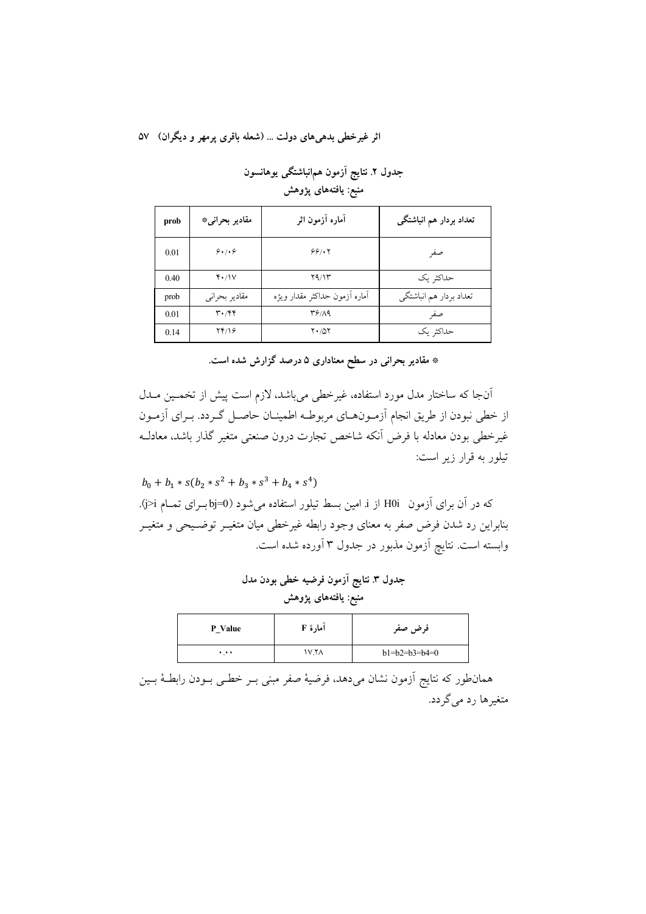جدول ٢. نتايج آزمون همانباشتگي يوهانسون منبع: يافتههاي پژوهش

| prob | مقادیر بحرانی*                | آماره آزمون اثر               | تعداد بردار هم انباشتگی |
|------|-------------------------------|-------------------------------|-------------------------|
| 0.01 | 9.1.9                         | 99/17                         | صفر                     |
| 0.40 | $Y \cdot \wedge V$            | Y9/11                         | حداکثہ یک               |
| prob | مقادیر بحرانی                 | أماره أزمون حداكثر مقدار ويژه | تعداد بردار هم انباشتگي |
| 0.01 | $\mathbf{r} \cdot \mathbf{r}$ | 38/19                         | صفر                     |
| 0.14 | YY/19                         | $Y \cdot / \Delta Y$          | حداکثر یک               |

\* مقادیر بحرانی در سطح معناداری ۵ درصد گزارش شده است.

آنجا که ساختار مدل مورد استفاده، غیرخطی میباشد، لازم است پیش از تخمـین مــدل از خطی نبودن از طریق انجام آزمـونهـای مربوطـه اطمینـان حاصـل گـردد. بـرای آزمـون غیرخطی بودن معادله با فرض أنکه شاخص تجارت درون صنعتی متغیر گذار باشد، معادلـه تيلور به قرار زير است:

 $b_0 + b_1 * s(b_2 * s^2 + b_3 * s^3 + b_4 * s^4)$ که در آن برای آزمون H0i از i امین بسط تیلور استفاده می شود (bj=0 بـرای تمـام j>i). بنابراین رد شدن فرض صفر به معنای وجود رابطه غیرخطی میان متغیـر توضـیحی و متغیـر وابسته است. نتایچ آزمون مذبور در جدول ۳ آورده شده است.

> جدول ٣. نتايج آزمون فرضيه خطي بودن مدل منبع: يافتههاي پژوهش

| P Value | آمارهٔ F | فرض صفر         |
|---------|----------|-----------------|
|         | ۱۷.۲۸    | $b1=b2=b3=b4=0$ |

همانطور که نتایج آزمون نشان میدهد، فرضیهٔ صفر مبنی بـر خطـی بـودن رابطـهٔ بـین متغیرها رد می گردد.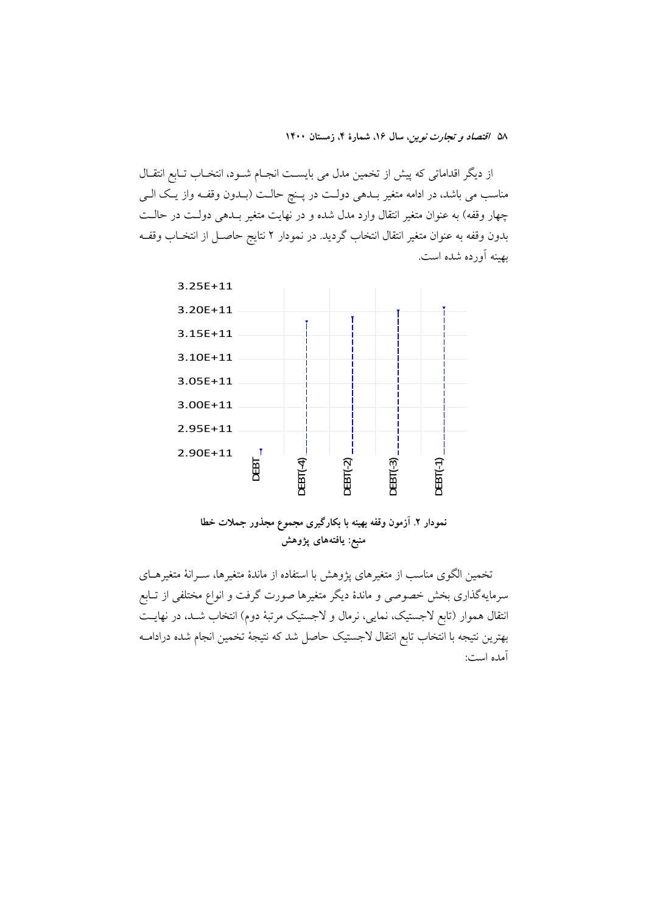از دیگر اقداماتی که پیش از تخمین مدل می بایســت انجــام شــود، انتخــاب تــابع انتقــال مناسب می باشد، در ادامه متغیر بـدهی دولـت در پـنچ حالـت (بـدون وقفـه واز یـک الـی چهار وقفه) به عنوان متغیر انتقال وارد مدل شده و در نهایت متغیر بلدهی دولت در حالت بدون وقفه به عنوان متغير انتقال انتخاب گرديد. در نمودار ٢ نتايج حاصـل از انتخــاب وقفــه بهينه أورده شده است.





تخمین الگوی مناسب از متغیرهای یژوهش با استفاده از ماندهٔ متغیرها، سـرانهٔ متغیرهــای سرمایهگذاری بخش خصوصی و ماندهٔ دیگر متغیرها صورت گرفت و انواع مختلفی از تـابع انتقال هموار (تابع لاجستیک، نمایی، نرمال و لاجستیک مرتبهٔ دوم) انتخاب شـد، در نهایـت بهترين نتيجه با انتخاب تابع انتقال لاجستيك حاصل شد كه نتيجهٔ تخمين انجام شده درادامــه آمده است: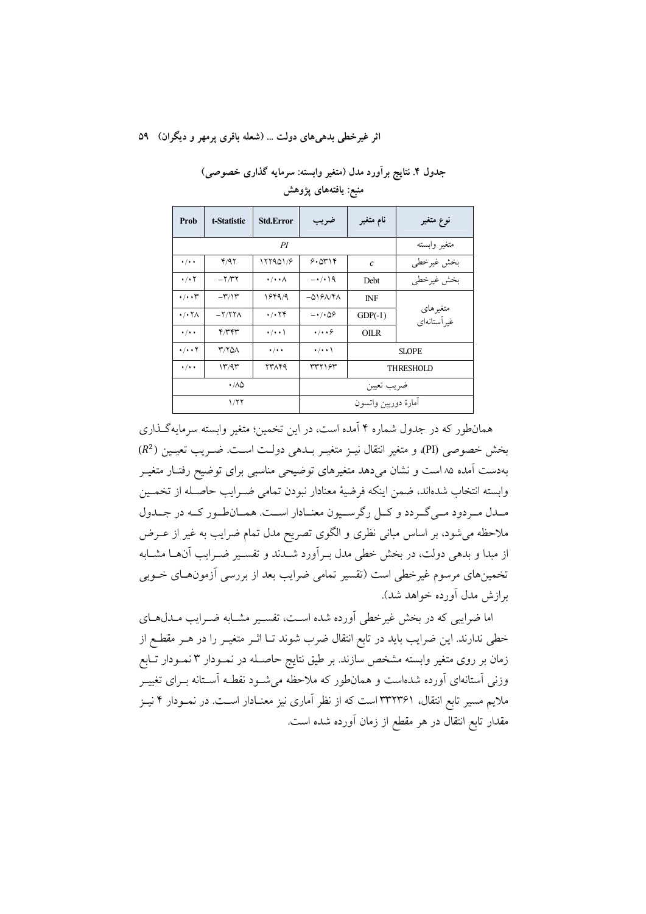| جدول ۴. نتایج برآورد مدل (متغیر وابسته: سرمایه گذاری خصوصی) |
|-------------------------------------------------------------|
| منبع: يافتەهاى پژوهش                                        |

| Prob                                  | t-Statistic       | <b>Std.Error</b>                        | ضريب                                | نام متغیر     | نوع متغير                |
|---------------------------------------|-------------------|-----------------------------------------|-------------------------------------|---------------|--------------------------|
|                                       |                   | متغير وابسته                            |                                     |               |                          |
| $\cdot/\cdot$                         | Y/97              | 177901/9                                | $9.0$ $\uparrow$ $\uparrow$         | $\mathcal{C}$ | بخش غيرخطي               |
| $\cdot$ / $\cdot$ $\cdot$             | $-\frac{1}{\pi}$  | $\cdot/\cdot\cdot\wedge$                | $-1/19$                             | <b>Debt</b>   | بخش غيرخطي               |
| $\cdot$ / $\cdot$ r                   | $-\tau/2$         | 184919                                  | $-\Delta$ 19 $\Lambda$ /۴ $\Lambda$ | <b>INF</b>    |                          |
| $\cdot$ / $\cdot$ $\uparrow$ $\wedge$ | $-Y/ Y Y \Lambda$ | $\cdot$ / $\cdot$ $\uparrow$ $\uparrow$ | $-\cdot/\cdot\Delta9$               | $GDP(-1)$     | متغيرهاي<br>غير آستانهاي |
| $\cdot$ / $\cdot$ $\cdot$             | ۴/۳۴۳             | $\cdot/\cdot\cdot$                      | $\cdot$ / $\cdot$ 6                 | <b>OILR</b>   |                          |
| $\cdot/\cdot\cdot$ $\uparrow$         | <b>۳/۲۵۸</b>      | $\cdot$ / $\cdot$ $\cdot$               | $\cdot/\cdot\cdot$                  | <b>SLOPE</b>  |                          |
| $\cdot/\cdot$ .                       | 17797<br>23789    |                                         | 377187                              | THRESHOLD     |                          |
|                                       | $\cdot$ /aq       |                                         |                                     | ضريب تعيين    |                          |
| 1/77                                  |                   |                                         | امارة دوربين واتسون                 |               |                          |

همانطور که در جدول شماره ۴ آمده است، در این تخمین؛ متغیر وابسته سرمایهگذاری بخش خصوصي (PI)، و متغير انتقال نيـز متغيـر بــدهي دولـت اسـت. ضـريب تعيـين (R2) بهدست آمده ۸۵ است و نشان می دهد متغیرهای توضیحی مناسبی برای توضیح رفتـار متغیــر وابسته انتخاب شدهاند، ضمن اينكه فرضيهٔ معنادار نبودن تمامى ضـرايب حاصـله از تخمـين مـدل مـردود مـي گـردد و كـل رگرسـيون معنـادار اسـت. همـانطـور كـه در جـدول ملاحظه می شود، بر اساس مبانی نظری و الگوی تصریح مدل تمام ضرایب به غیر از عــرض از مبدا و بدهی دولت، در بخش خطی مدل بـرآورد شــدند و تفســیر ضــرایب آنهــا مشــابه تخمینهای مرسوم غیرخطی است (تقسیر تمامی ضرایب بعد از بررسی آزمونهـای خــوبی برازش مدل أورده خواهد شد).

اما ضرایبی که در بخش غیرخطی آورده شده است، تفسیر مشـابه ضـرایب مـدلهـای خطی ندارند. این ضرایب باید در تابع انتقال ضرب شوند تـا اثـر متغیـر را در هـر مقطـع از زمان بر روی متغیر وابسته مشخص سازند. بر طبق نتایج حاصـله در نمـودار ۳ نمـودار تـابع وزنی آستانهای آورده شدهاست و همانطور که ملاحظه میشـود نقطـه آسـتانه بـرای تغییـر ملایم مسیر تابع انتقال، ۳۳۲۳۶۱ است که از نظر آماری نیز معنـادار اســت. در نمــودار ۴ نیــز مقدار تابع انتقال در هر مقطع از زمان آورده شده است.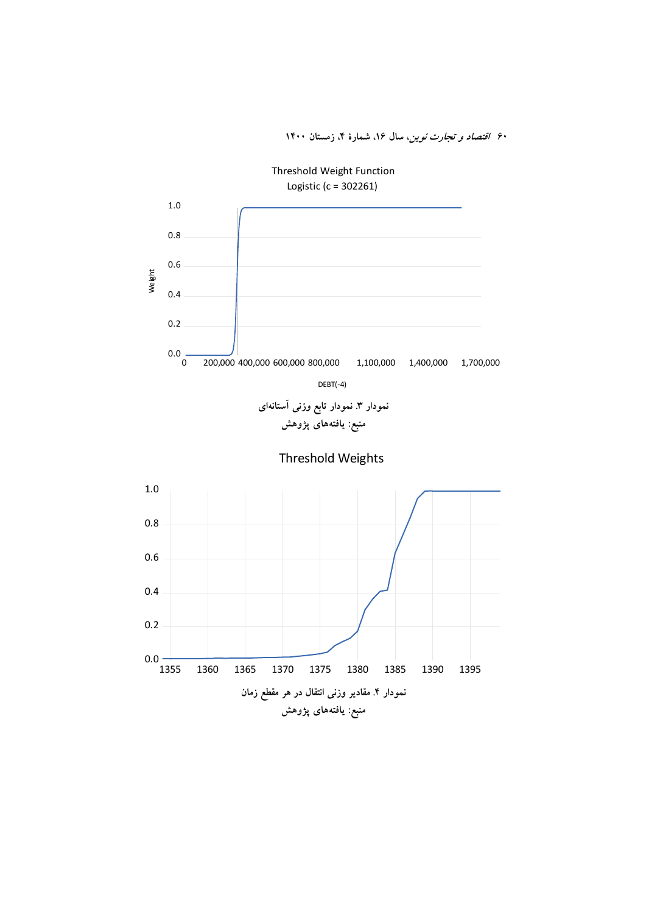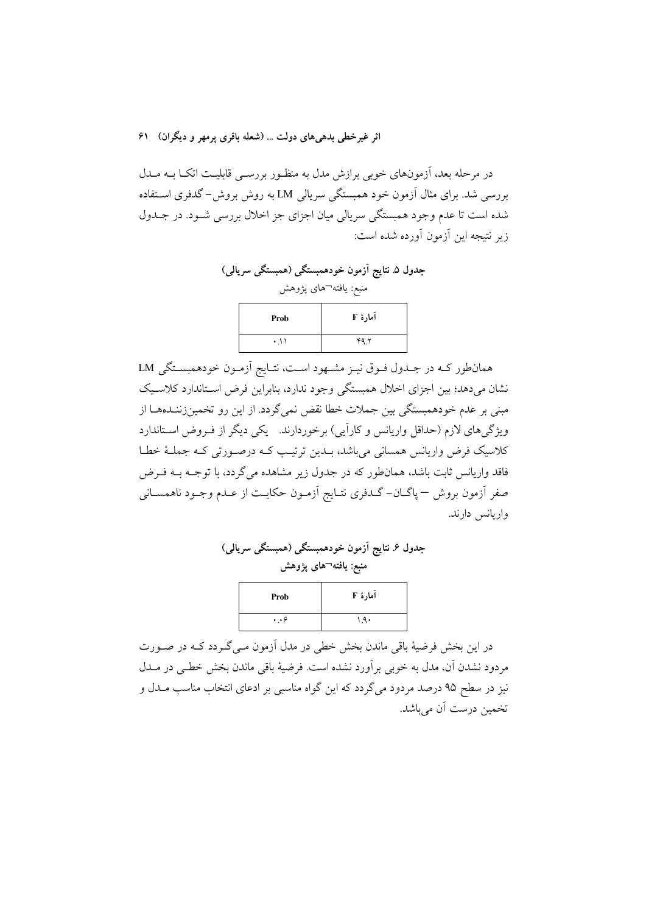در مرحله بعد، اَزمونهای خوبی برازش مدل به منظـور بررســی قابلیـت اتکــا بــه مــدل بررسی شد. برای مثال آزمون خود همبستگی سرپالی LM به روش بروش- گدفری استفاده شده است تا عدم وجود همبستگی سریالی میان اجزای جز اخلال بررسی شـود. در جـدول زير نتيجه اين آزمون آورده شده است:

جدول ۵ـ نتايج آزمون خودهمبستگي (همبستگي سريالي) منبع: يافته¬هاى پژوهش آما, هٔ F Prob  $49<sup>4</sup>$  $\cdot$  11

همانطور كـه در جـدول فـوق نيـز مشـهود اسـت، نتـايج أزمـون خودهمبسـتگي LM نشان می دهد؛ بین اجزای اخلال همبستگی وجود ندارد، بنابراین فرض اسـتاندارد کلاسـیک مبنی پر عدم خودهمستگی بین جملات خطا نقض نمی گردد. از این رو تخمینزننیدهها از ویژگیهای لازم (حداقل واریانس و کارایی) برخوردارند. یکی دیگر از فـروض اسـتاندارد كلاسيك فرض واريانس همساني مي باشد، بــدين ترتيـب كــه درصــورتي كــه جملــهٔ خطــا فاقد واریانس ثابت باشد، همانطور که در جدول زیر مشاهده می گردد، با توجـه بــه فــرض صفرِ أزمون بروش — پاگــان- گــدفري نتــايج أزمــون حكايــت از عــدم وجــود ناهمســانـي واريانس دارند.

| جدول ۶ نتایج آزمون خودهمبستگی (همبستگی سریالی) |
|------------------------------------------------|
| منبع: یافته¬های پژوهش                          |
|                                                |

| Prob            | آمارهٔ F |
|-----------------|----------|
| $\cdot \cdot$ ۶ | ۹۹۰.     |

در این بخش فرضیهٔ باقی ماندن بخش خطی در مدل آزمون مـی گــردد کــه در صــورت مردود نشدن آن، مدل به خوبی برآورد نشده است. فرضیهٔ باقی ماندن بخش خطـی در مــدل نیز در سطح ۹۵ درصد مردود می گردد که این گواه مناسبی بر ادعای انتخاب مناسب مـدل و تخمین درست آن میباشد.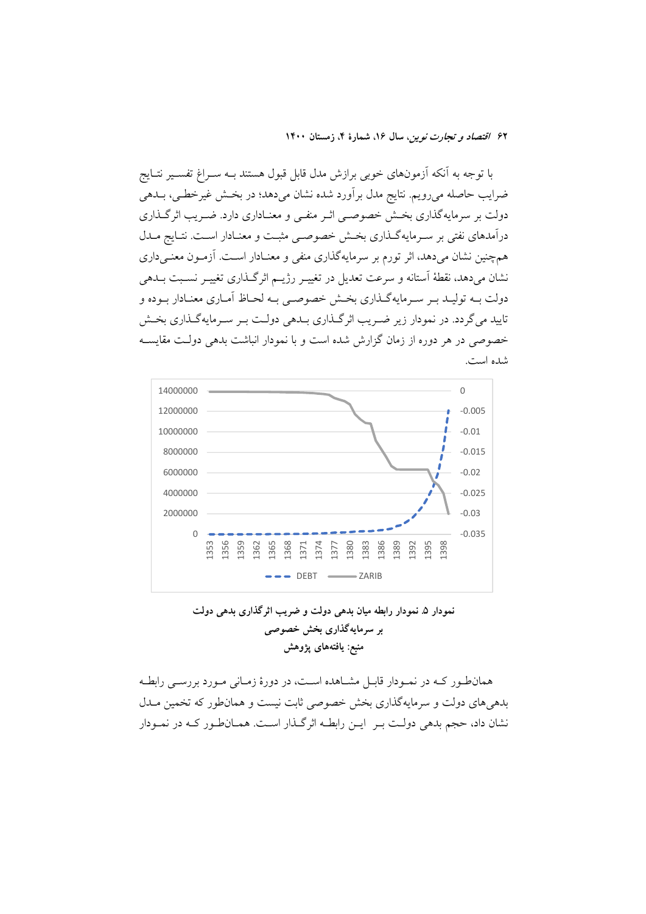با توجه به آنکه آزمونهای خوبی برازش مدل قابل قبول هستند بــه ســراغ تفســير نتــايج ضرایب حاصله می رویم. نتایج مدل بر آورد شده نشان می دهد؛ در بخـش غیرخطـی، بــدهی دولت بر سرمایهگذاری بخش خصوصبی اثـر منفـی و معنـاداری دارد. ضـریب اثرگـذاری درآمدهای نفتی بر سـرمایهگـذاری بخـش خصوصـی مثبـت و معنـادار اسـت. نتـایج مــدل همچنین نشان میدهد، اثر تورم بر سرمایهگذاری منفی و معنـادار اسـت. اَزمـون معنـیداری نشان ميدهد، نقطهٔ استانه و سرعت تعديل در تغييـر رژيــم اثرگــذاري تغييــر نســبت بــدهي دولت بــه توليــد بــر ســرمايهگــذاري بخــش خصوصــي بــه لحــاظ آمــاري معنــادار بــوده و تابید می گردد. در نمودار زیر ضبریب اثر گیذاری پیدهی دولت پیر سبرمایه گیذاری بخش خصوصی در هر دوره از زمان گزارش شده است و با نمودار انباشت بدهی دولت مقایسـه شده است.



نمودار ۵ـ نمودار رابطه ميان بدهي دولت و ضريب اثرگذاري بدهي دولت بر سرمایهگذاری بخش خصوصی منبع: يافتههاي يژوهش

همانطور کـه در نمـودار قابـل مشـاهده اسـت، در دورهٔ زمـانی مـورد بررسـی رابطـه بدهی های دولت و سرمایهگذاری بخش خصوصی ثابت نیست و همانطور که تخمین مــدل نشان داد، حجم بدهی دولت بـر ایـن رابطـه اثرگـذار اسـت. همـانطـور کـه در نمـودار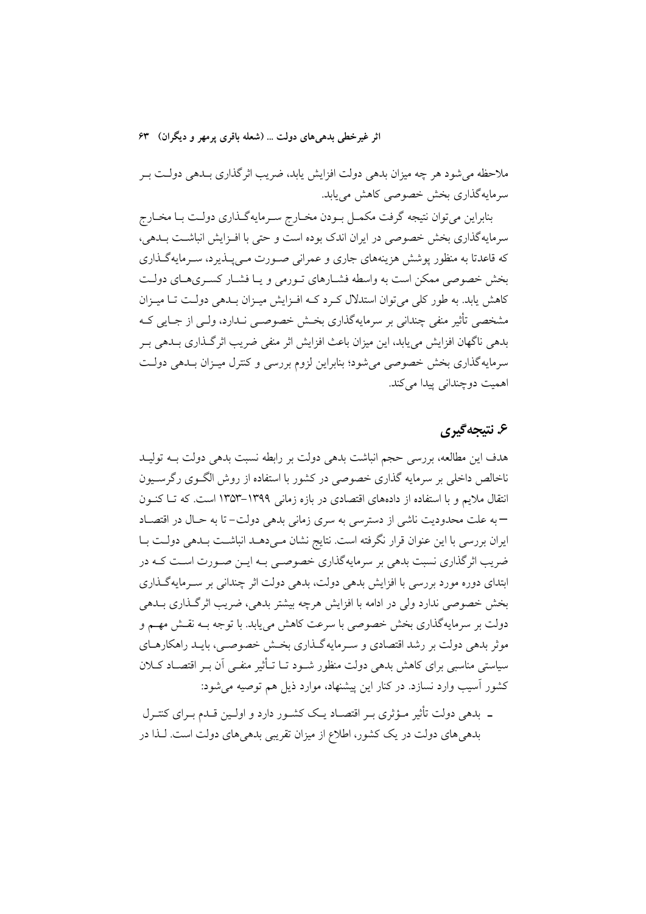ملاحظه میشود هر چه میزان بدهی دولت افزایش یابد، ضریب اثرگذاری بـدهی دولـت بـر سرمایهگذاری بخش خصوصی کاهش می یابد.

بنابراین میتوان نتیجه گرفت مکمـل بـودن مخـارج سـرمایهگـذاری دولـت بـا مخـارج سرمایهگذاری بخش خصوصی در ایران اندک بوده است و حتی با افـزایش انباشـت بــدهی، که قاعدتا به منظور پوشش هزینههای جاری و عمرانی صـورت مـیپـذیرد، سـرمایهگـذاری بخش خصوصی ممکن است به واسطه فشبارهای تبورمی و یبا فشبار کسیری هبای دولت کاهش پابد. به طور کلی می توان استدلال کرد کـه افـزایش میـزان بـدهی دولـت تـا میـزان مشخصی تأثیر منفی چندانی بر سرمایهگذاری بخــش خصوصــی نــدارد، ولــی از جــایی کــه بدهی ناگهان افزایش می پابد، این میزان باعث افزایش اثر منفی ضریب اثرگـذاری بــدهی بــر سرمایه گذاری بخش خصوصی می شود؛ بنابراین لزوم بررسی و کنترل میـزان بــدهی دولــت اهميت دوچنداني پيدا مي کند.

# ۶. نتىجەگىرى

هدف این مطالعه، بررسی حجم انباشت بدهی دولت بر رابطه نسبت بدهی دولت بـه تولیـد ناخالص داخلی بر سرمایه گذاری خصوصی در کشور با استفاده از روش الگـوی رگرسـیون انتقال ملایم و با استفاده از دادههای اقتصادی در بازه زمانی ۱۳۹۹–۱۳۵۳ است. که تـا کنـون – به علت محدودیت ناشی از دسترسی به سری زمانی بدهی دولت– تا به حـال در اقتصـاد ایران بررسی با این عنوان قرار نگرفته است. نتایج نشان مـی دهــد انباشــت بــدهی دولــت بــا ضریب اثر گذاری نسبت بدهی بر سرمایهگذاری خصوصبی بـه ایــن صــورت اســت کــه در ابتدای دوره مورد بررسی با افزایش بدهی دولت، بدهی دولت اثر چندانی بر سـرمایهگـذاری بخش خصوصی ندارد ولی در ادامه با افزایش هرچه بیشتر بدهی، ضریب اثرگذاری بــدهی دولت بر سرمایهگذاری بخش خصوصی با سرعت کاهش می یابد. با توجه بـه نقـش مهـم و موثر بدهی دولت بر رشد اقتصادی و سـرمایه گـذاری بخـش خصوصــی، بایــد راهکارهــای سیاستی مناسبی برای کاهش بدهی دولت منظور شـود تـا تــأثیر منفــی آن بــر اقتصــاد کــلان کشور آسیب وارد نسازد. در کنار این پیشنهاد، موارد ذیل هم توصیه می شود:

ــ بدهی دولت تأثیر مــؤثری بــر اقتصــاد یــک کشــور دارد و اولــین قــدم بــرای کنتــرل بدهی های دولت در یک کشور، اطلاع از میزان تقریبی بدهی های دولت است. لـذا در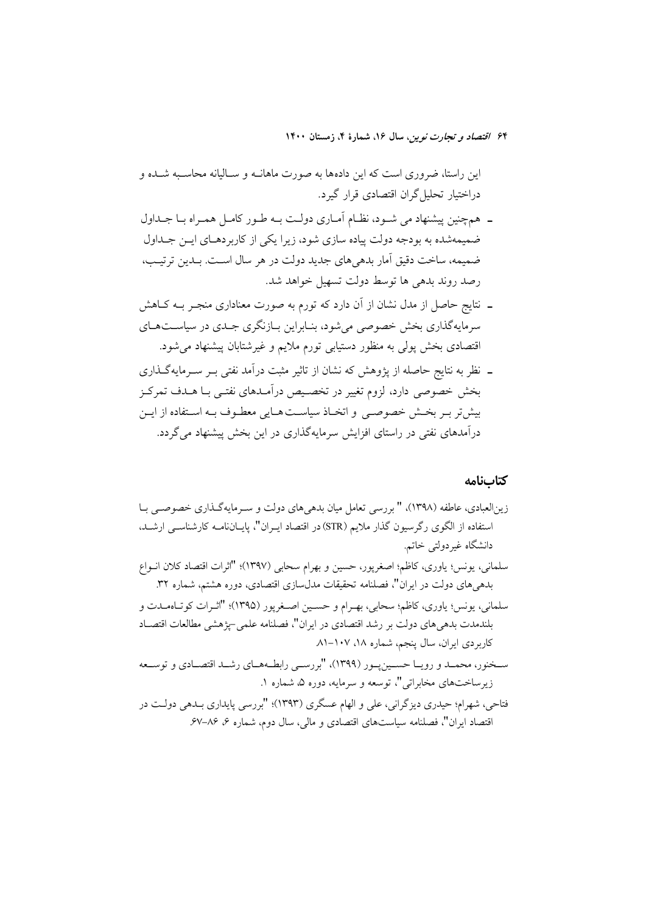این راستا، ضروری است که این دادهها به صورت ماهانــه و ســالیانه محاســبه شــده و دراختیار تحلیل گران اقتصادی قرار گیرد.

- ــ همچنین پیشنهاد می شـود، نظـام أمـاری دولـت بــه طـور کامـل همـراه بــا جــداول ضمیمهشده به بودجه دولت پیاده سازی شود، زیرا یکی از کاربردهـای ایـن جـداول ضمیمه، ساخت دقیق اَمار بدهیهای جدید دولت در هر سال اسـت. بـدین ترتیـب، رصد روند بدهی ها توسط دولت تسهیل خواهد شد.
- ـ نتايج حاصل از مدل نشان از آن دارد كه تورم به صورت معناداري منجـر بــه كــاهش سرمایهگذاری بخش خصوصی می شود، بنـابراین بـازنگری جـدی در سیاسـتهـای قتصادی بخش پولی به منظور دستیابی تورم ملایم و غیرشتابان پیشنهاد میشود.
- ـ نظر به نتایج حاصله از پژوهش که نشان از تاثیر مثبت درآمد نفتی بـر سـرمایهگـذاری بخش خصوصی دارد، لزوم تغییر در تخصیص درآمـدهای نفتـی بـا هـدف تمرکـز بیش تر بسر بخش خصوصبی و اتخیاذ سیاست هیایی معطیوف بیه استفاده از ایس درآمدهای نفتی در راستای افزایش سرمایهگذاری در این بخش پیشنهاد می گردد.

#### كتابنامه

- زین|لعبادی، عاطفه (۱۳۹۸)، " بررسی تعامل میان بدهی های دولت و سـرمایهگـذاری خصوصـی بــا استفاده از الگوی رگرسیون گذار ملایم (STR) در اقتصاد ایـران"، پایــانiامــه کارشناســی ارشــد. دانشگاه غير دولتي خاتم. سلمانی، یونس؛ یاوری، کاظم؛ اصغرپور، حسین و بهرام سحابی (۱۳۹۷)؛ "اثرات اقتصاد کلان انــواع
- بدهیهای دولت در ایران"، فصلنامه تحقیقات مدلسازی اقتصادی، دوره هشتم، شماره ۳۲.
- سلماني، يونس؛ ياوري، كاظم؛ سحابي، بهـرام و حسـين اصـغريور (١٣٩٥)؛ "اثـرات كو تـاهمـدت و بلندمدت بدهي هاي دولت بر رشد اقتصادي در ايران"، فصلنامه علمي-يژهشي مطالعات اقتصـاد کاربردی ایران، سال پنجم، شماره ۱۸، ۱۰۷–۸۱
- سـخنور، محمـد و رويـا حسـينيــور (١٣٩٩)، "بررســي رابطــههــاي رشــد اقتصــادي و توســعه زیر ساختهای مخابراتی"، توسعه و سرمایه، دوره ۵، شماره ۱.
- فتاحي، شهرام؛ حيدري ديزگراني، علي و الهام عسگري (١٣٩٣)؛ "بررسي پايداري بـدهي دولـت در اقتصاد ایران"، فصلنامه سیاستهای اقتصادی و مالی، سال دوم، شماره ۶، ۸۶–۶۷.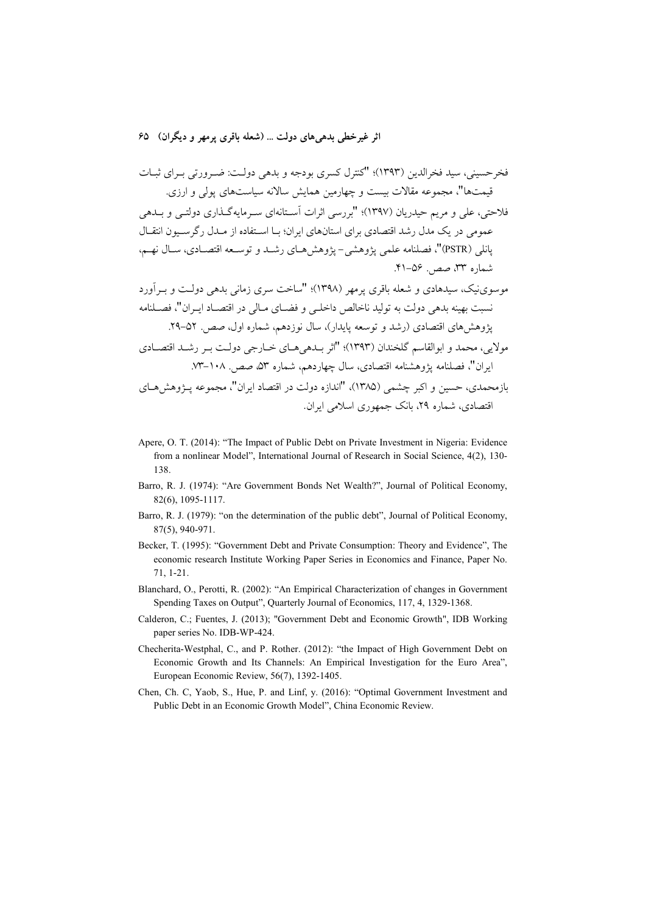- Apere, O. T. (2014): "The Impact of Public Debt on Private Investment in Nigeria: Evidence from a nonlinear Model", International Journal of Research in Social Science, 4(2), 130-138.
- Barro, R. J. (1974): "Are Government Bonds Net Wealth?", Journal of Political Economy, 82(6), 1095-1117.
- Barro, R. J. (1979): "on the determination of the public debt", Journal of Political Economy,  $87(5)$ , 940-971.
- Becker, T. (1995): "Government Debt and Private Consumption: Theory and Evidence". The economic research Institute Working Paper Series in Economics and Finance, Paper No.  $71, 1 - 21.$
- Blanchard, O., Perotti, R. (2002): "An Empirical Characterization of changes in Government Spending Taxes on Output", Quarterly Journal of Economics, 117, 4, 1329-1368.
- Calderon, C.; Fuentes, J. (2013); "Government Debt and Economic Growth", IDB Working paper series No. IDB-WP-424.
- Checherita-Westphal, C., and P. Rother. (2012): "the Impact of High Government Debt on Economic Growth and Its Channels: An Empirical Investigation for the Euro Area", European Economic Review, 56(7), 1392-1405.
- Chen, Ch. C, Yaob, S., Hue, P. and Linf, y. (2016): "Optimal Government Investment and Public Debt in an Economic Growth Model", China Economic Review.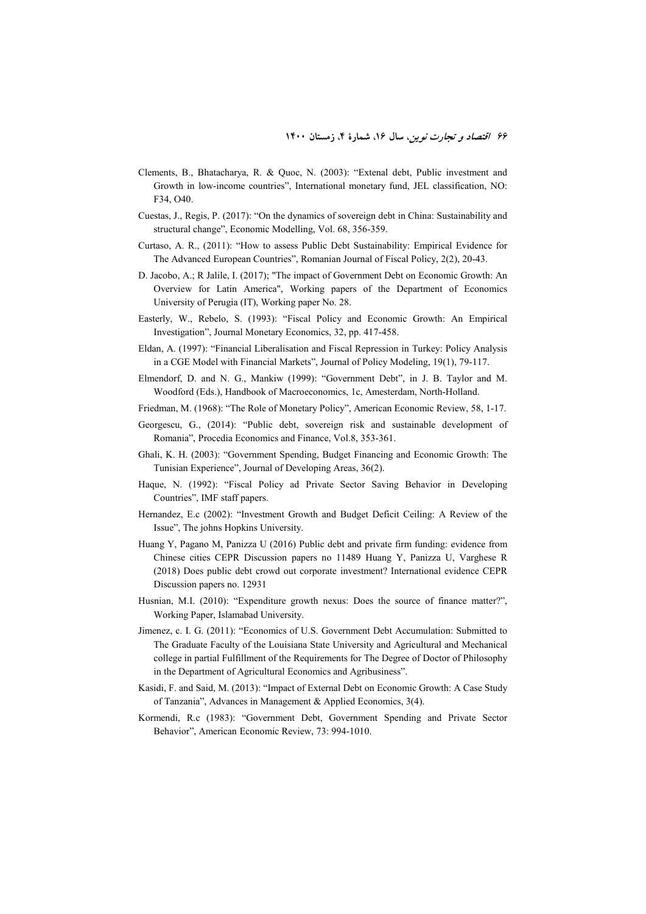- Clements, B., Bhatacharya, R. & Quoc, N. (2003): "Extenal debt, Public investment and Growth in low-income countries", International monetary fund, JEL classification, NO: F34, O40.
- Cuestas, J., Regis, P. (2017): "On the dynamics of sovereign debt in China: Sustainability and structural change", Economic Modelling, Vol. 68, 356-359.
- Curtaso, A. R., (2011): "How to assess Public Debt Sustainability: Empirical Evidence for The Advanced European Countries", Romanian Journal of Fiscal Policy, 2(2), 20-43.
- D. Jacobo, A.; R Jalile, I. (2017); "The impact of Government Debt on Economic Growth: An Overview for Latin America", Working papers of the Department of Economics University of Perugia (IT), Working paper No. 28.
- Easterly, W., Rebelo, S. (1993): "Fiscal Policy and Economic Growth: An Empirical Investigation", Journal Monetary Economics, 32, pp. 417-458.
- Eldan, A. (1997): "Financial Liberalisation and Fiscal Repression in Turkey: Policy Analysis in a CGE Model with Financial Markets", Journal of Policy Modeling, 19(1), 79-117.
- Elmendorf, D. and N. G., Mankiw (1999): "Government Debt", in J. B. Taylor and M. Woodford (Eds.), Handbook of Macroeconomics, 1c, Amesterdam, North-Holland.
- Friedman, M. (1968): "The Role of Monetary Policy", American Economic Review, 58, 1-17.
- Georgescu, G., (2014): "Public debt, sovereign risk and sustainable development of Romania", Procedia Economics and Finance, Vol.8, 353-361.
- Ghali, K. H. (2003): "Government Spending, Budget Financing and Economic Growth: The Tunisian Experience", Journal of Developing Areas, 36(2).
- Haque, N. (1992): "Fiscal Policy ad Private Sector Saving Behavior in Developing Countries", IMF staff papers.
- Hernandez, E.c (2002): "Investment Growth and Budget Deficit Ceiling: A Review of the Issue", The johns Hopkins University.
- Huang Y, Pagano M, Panizza U (2016) Public debt and private firm funding: evidence from Chinese cities CEPR Discussion papers no 11489 Huang Y, Panizza U, Varghese R (2018) Does public debt crowd out corporate investment? International evidence CEPR Discussion papers no. 12931
- Husnian, M.I. (2010): "Expenditure growth nexus: Does the source of finance matter?", Working Paper, Islamabad University.
- Jimenez, c. I. G. (2011): "Economics of U.S. Government Debt Accumulation: Submitted to The Graduate Faculty of the Louisiana State University and Agricultural and Mechanical college in partial Fulfillment of the Requirements for The Degree of Doctor of Philosophy in the Department of Agricultural Economics and Agribusiness".
- Kasidi, F. and Said, M. (2013): "Impact of External Debt on Economic Growth: A Case Study of Tanzania", Advances in Management & Applied Economics, 3(4).
- Kormendi, R.c (1983): "Government Debt, Government Spending and Private Sector Behavior", American Economic Review, 73: 994-1010.